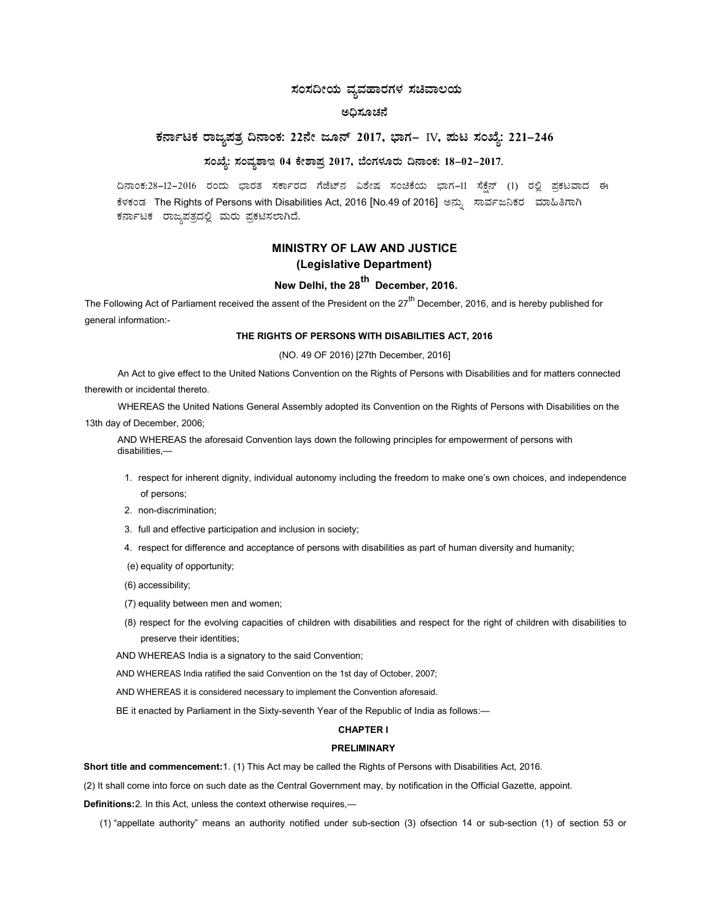## ಸಂಸದೀಯ ವ್ಯವಹಾರಗಳ ಸಚಿವಾಲಯ

## ಅಧಿಸೂಚನೆ

# ಕರ್ನಾಟಕ ರಾಜ್ಯಪತ್ರ ದಿನಾಂಕ: 22ನೇ ಜೂನ್ 2017, ಭಾಗ– IV, ಮಟ ಸಂಖ್ಯೆ: 221–246

## ಸಂಖ್ಯೆ: ಸಂವ್ಯಶಾಇ 04 ಕೇಶಾಪ್ರ 2017, ಬೆಂಗಳೂರು ದಿನಾಂಕ: 18-02-2017.

ದಿನಾಂಕ:28-12-2016 ರಂದು ಭಾರತ ಸರ್ಕಾರದ ಗೆಜೆಟ್**ನ ವಿಶೇಷ ಸಂಚಿಕೆಯ ಭಾಗ−11 ಸೆಕ್ಷೆನ್ (1) ರಲ್ಲಿ** ಪ್ರಕಟವಾದ ಈ ಕೆಳಕಂಡ The Rights of Persons with Disabilities Act, 2016 [No.49 of 2016] ಅನ್ನು ಸಾರ್ವಜನಿಕರ ಮಾಹಿತಿಗಾಗಿ ಕರ್ನಾಟಕ ರಾಜ್ಯಪತ್ರದಲ್ಲಿ ಮರು ಪ್ರಕಟಿಸಲಾಗಿದೆ.

# MINISTRY OF LAW AND JUSTICE (Legislative Department)

# New Delhi, the  $28^{th}$  December, 2016.

The Following Act of Parliament received the assent of the President on the 27<sup>th</sup> December, 2016, and is hereby published for general information:-

## THE RIGHTS OF PERSONS WITH DISABILITIES ACT, 2016

## (NO. 49 OF 2016) [27th December, 2016]

An Act to give effect to the United Nations Convention on the Rights of Persons with Disabilities and for matters connected therewith or incidental thereto.

WHEREAS the United Nations General Assembly adopted its Convention on the Rights of Persons with Disabilities on the

13th day of December, 2006;

AND WHEREAS the aforesaid Convention lays down the following principles for empowerment of persons with disabilities,—

- 1. respect for inherent dignity, individual autonomy including the freedom to make one's own choices, and independence of persons;
- 2. non-discrimination;
- 3. full and effective participation and inclusion in society;
- 4. respect for difference and acceptance of persons with disabilities as part of human diversity and humanity;
- (e) equality of opportunity;
- (6) accessibility;
- (7) equality between men and women;
- (8) respect for the evolving capacities of children with disabilities and respect for the right of children with disabilities to preserve their identities;
- AND WHEREAS India is a signatory to the said Convention;

AND WHEREAS India ratified the said Convention on the 1st day of October, 2007;

AND WHEREAS it is considered necessary to implement the Convention aforesaid.

BE it enacted by Parliament in the Sixty-seventh Year of the Republic of India as follows:—

## CHAPTER I

## PRELIMINARY

Short title and commencement:1. (1) This Act may be called the Rights of Persons with Disabilities Act, 2016.

(2) It shall come into force on such date as the Central Government may, by notification in the Official Gazette, appoint.

Definitions:2. In this Act, unless the context otherwise requires,—

(1) "appellate authority" means an authority notified under sub-section (3) ofsection 14 or sub-section (1) of section 53 or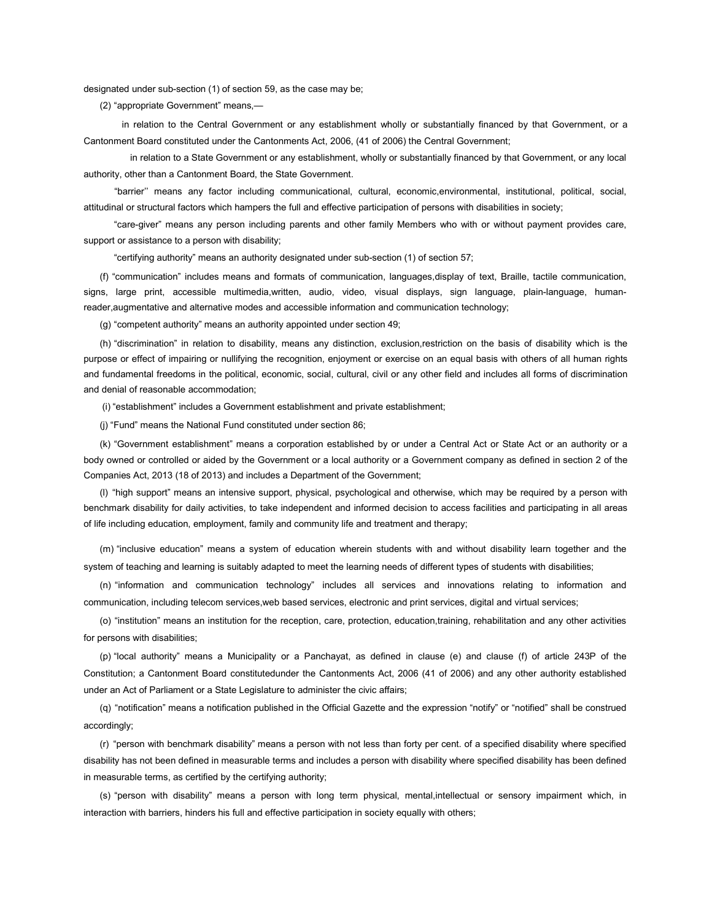designated under sub-section (1) of section 59, as the case may be;

(2) "appropriate Government" means,—

 in relation to the Central Government or any establishment wholly or substantially financed by that Government, or a Cantonment Board constituted under the Cantonments Act, 2006, (41 of 2006) the Central Government;

 in relation to a State Government or any establishment, wholly or substantially financed by that Government, or any local authority, other than a Cantonment Board, the State Government.

 "barrier'' means any factor including communicational, cultural, economic,environmental, institutional, political, social, attitudinal or structural factors which hampers the full and effective participation of persons with disabilities in society;

 "care-giver" means any person including parents and other family Members who with or without payment provides care, support or assistance to a person with disability;

"certifying authority" means an authority designated under sub-section (1) of section 57;

(f) "communication" includes means and formats of communication, languages,display of text, Braille, tactile communication, signs, large print, accessible multimedia,written, audio, video, visual displays, sign language, plain-language, humanreader,augmentative and alternative modes and accessible information and communication technology;

(g) "competent authority" means an authority appointed under section 49;

(h) "discrimination" in relation to disability, means any distinction, exclusion,restriction on the basis of disability which is the purpose or effect of impairing or nullifying the recognition, enjoyment or exercise on an equal basis with others of all human rights and fundamental freedoms in the political, economic, social, cultural, civil or any other field and includes all forms of discrimination and denial of reasonable accommodation;

(i) "establishment" includes a Government establishment and private establishment;

(j) "Fund" means the National Fund constituted under section 86;

(k) "Government establishment" means a corporation established by or under a Central Act or State Act or an authority or a body owned or controlled or aided by the Government or a local authority or a Government company as defined in section 2 of the Companies Act, 2013 (18 of 2013) and includes a Department of the Government;

(l) "high support" means an intensive support, physical, psychological and otherwise, which may be required by a person with benchmark disability for daily activities, to take independent and informed decision to access facilities and participating in all areas of life including education, employment, family and community life and treatment and therapy;

(m) "inclusive education" means a system of education wherein students with and without disability learn together and the system of teaching and learning is suitably adapted to meet the learning needs of different types of students with disabilities;

(n) "information and communication technology" includes all services and innovations relating to information and communication, including telecom services,web based services, electronic and print services, digital and virtual services;

(o) "institution" means an institution for the reception, care, protection, education,training, rehabilitation and any other activities for persons with disabilities;

(p) "local authority" means a Municipality or a Panchayat, as defined in clause (e) and clause (f) of article 243P of the Constitution; a Cantonment Board constitutedunder the Cantonments Act, 2006 (41 of 2006) and any other authority established under an Act of Parliament or a State Legislature to administer the civic affairs;

(q) "notification" means a notification published in the Official Gazette and the expression "notify" or "notified" shall be construed accordingly;

(r) "person with benchmark disability" means a person with not less than forty per cent. of a specified disability where specified disability has not been defined in measurable terms and includes a person with disability where specified disability has been defined in measurable terms, as certified by the certifying authority;

(s) "person with disability" means a person with long term physical, mental,intellectual or sensory impairment which, in interaction with barriers, hinders his full and effective participation in society equally with others;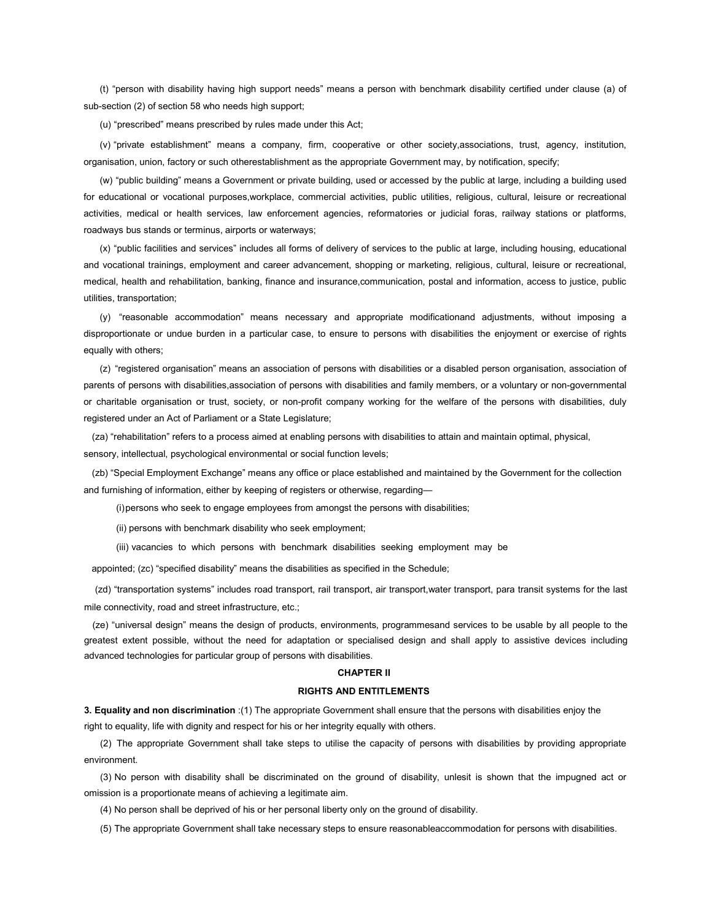(t) "person with disability having high support needs" means a person with benchmark disability certified under clause (a) of sub-section (2) of section 58 who needs high support;

(u) "prescribed" means prescribed by rules made under this Act;

(v) "private establishment" means a company, firm, cooperative or other society,associations, trust, agency, institution, organisation, union, factory or such otherestablishment as the appropriate Government may, by notification, specify;

(w) "public building" means a Government or private building, used or accessed by the public at large, including a building used for educational or vocational purposes,workplace, commercial activities, public utilities, religious, cultural, leisure or recreational activities, medical or health services, law enforcement agencies, reformatories or judicial foras, railway stations or platforms, roadways bus stands or terminus, airports or waterways;

(x) "public facilities and services" includes all forms of delivery of services to the public at large, including housing, educational and vocational trainings, employment and career advancement, shopping or marketing, religious, cultural, leisure or recreational, medical, health and rehabilitation, banking, finance and insurance,communication, postal and information, access to justice, public utilities, transportation;

(y) "reasonable accommodation" means necessary and appropriate modificationand adjustments, without imposing a disproportionate or undue burden in a particular case, to ensure to persons with disabilities the enjoyment or exercise of rights equally with others;

(z) "registered organisation" means an association of persons with disabilities or a disabled person organisation, association of parents of persons with disabilities,association of persons with disabilities and family members, or a voluntary or non-governmental or charitable organisation or trust, society, or non-profit company working for the welfare of the persons with disabilities, duly registered under an Act of Parliament or a State Legislature;

(za) "rehabilitation" refers to a process aimed at enabling persons with disabilities to attain and maintain optimal, physical, sensory, intellectual, psychological environmental or social function levels;

(zb) "Special Employment Exchange" means any office or place established and maintained by the Government for the collection and furnishing of information, either by keeping of registers or otherwise, regarding—

(i) persons who seek to engage employees from amongst the persons with disabilities;

(ii) persons with benchmark disability who seek employment;

(iii) vacancies to which persons with benchmark disabilities seeking employment may be

appointed; (zc) "specified disability" means the disabilities as specified in the Schedule;

 (zd) "transportation systems" includes road transport, rail transport, air transport,water transport, para transit systems for the last mile connectivity, road and street infrastructure, etc.;

(ze) "universal design" means the design of products, environments, programmesand services to be usable by all people to the greatest extent possible, without the need for adaptation or specialised design and shall apply to assistive devices including advanced technologies for particular group of persons with disabilities.

## CHAPTER II

## RIGHTS AND ENTITLEMENTS

3. Equality and non discrimination :(1) The appropriate Government shall ensure that the persons with disabilities enjoy the right to equality, life with dignity and respect for his or her integrity equally with others.

(2) The appropriate Government shall take steps to utilise the capacity of persons with disabilities by providing appropriate environment.

(3) No person with disability shall be discriminated on the ground of disability, unlesit is shown that the impugned act or omission is a proportionate means of achieving a legitimate aim.

(4) No person shall be deprived of his or her personal liberty only on the ground of disability.

(5) The appropriate Government shall take necessary steps to ensure reasonableaccommodation for persons with disabilities.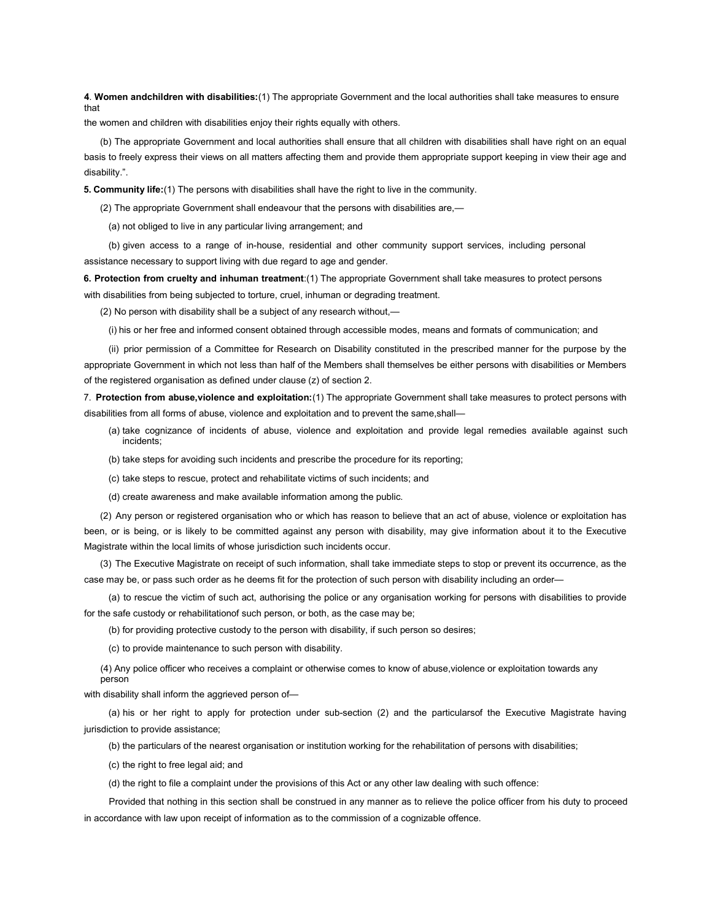4. Women andchildren with disabilities:(1) The appropriate Government and the local authorities shall take measures to ensure that

the women and children with disabilities enjoy their rights equally with others.

(b) The appropriate Government and local authorities shall ensure that all children with disabilities shall have right on an equal basis to freely express their views on all matters affecting them and provide them appropriate support keeping in view their age and disability.".

5. Community life:(1) The persons with disabilities shall have the right to live in the community.

(2) The appropriate Government shall endeavour that the persons with disabilities are,—

(a) not obliged to live in any particular living arrangement; and

(b) given access to a range of in-house, residential and other community support services, including personal assistance necessary to support living with due regard to age and gender.

6. Protection from cruelty and inhuman treatment:(1) The appropriate Government shall take measures to protect persons with disabilities from being subjected to torture, cruel, inhuman or degrading treatment.

(2) No person with disability shall be a subject of any research without,—

(i) his or her free and informed consent obtained through accessible modes, means and formats of communication; and

(ii) prior permission of a Committee for Research on Disability constituted in the prescribed manner for the purpose by the appropriate Government in which not less than half of the Members shall themselves be either persons with disabilities or Members of the registered organisation as defined under clause (z) of section 2.

7. Protection from abuse, violence and exploitation: (1) The appropriate Government shall take measures to protect persons with disabilities from all forms of abuse, violence and exploitation and to prevent the same, shall-

- (a) take cognizance of incidents of abuse, violence and exploitation and provide legal remedies available against such incidents;
- (b) take steps for avoiding such incidents and prescribe the procedure for its reporting;
- (c) take steps to rescue, protect and rehabilitate victims of such incidents; and
- (d) create awareness and make available information among the public.

(2) Any person or registered organisation who or which has reason to believe that an act of abuse, violence or exploitation has been, or is being, or is likely to be committed against any person with disability, may give information about it to the Executive Magistrate within the local limits of whose jurisdiction such incidents occur.

(3) The Executive Magistrate on receipt of such information, shall take immediate steps to stop or prevent its occurrence, as the case may be, or pass such order as he deems fit for the protection of such person with disability including an order—

(a) to rescue the victim of such act, authorising the police or any organisation working for persons with disabilities to provide for the safe custody or rehabilitationof such person, or both, as the case may be;

(b) for providing protective custody to the person with disability, if such person so desires;

(c) to provide maintenance to such person with disability.

(4) Any police officer who receives a complaint or otherwise comes to know of abuse,violence or exploitation towards any person

with disability shall inform the aggrieved person of—

(a) his or her right to apply for protection under sub-section (2) and the particularsof the Executive Magistrate having jurisdiction to provide assistance;

(b) the particulars of the nearest organisation or institution working for the rehabilitation of persons with disabilities;

(c) the right to free legal aid; and

(d) the right to file a complaint under the provisions of this Act or any other law dealing with such offence:

Provided that nothing in this section shall be construed in any manner as to relieve the police officer from his duty to proceed in accordance with law upon receipt of information as to the commission of a cognizable offence.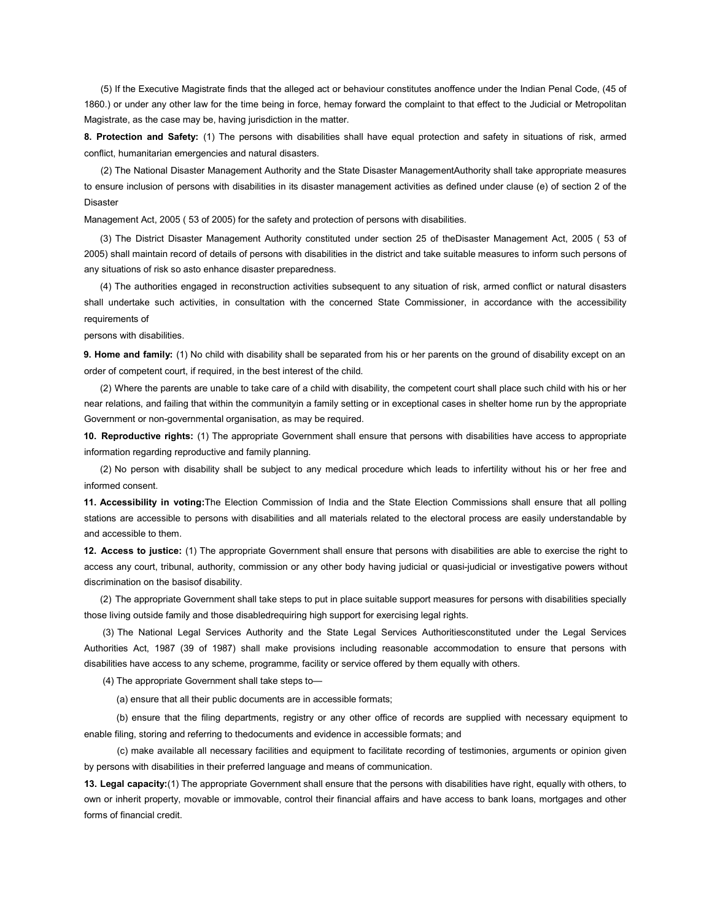(5) If the Executive Magistrate finds that the alleged act or behaviour constitutes anoffence under the Indian Penal Code, (45 of 1860.) or under any other law for the time being in force, hemay forward the complaint to that effect to the Judicial or Metropolitan Magistrate, as the case may be, having jurisdiction in the matter.

8. Protection and Safety: (1) The persons with disabilities shall have equal protection and safety in situations of risk, armed conflict, humanitarian emergencies and natural disasters.

(2) The National Disaster Management Authority and the State Disaster ManagementAuthority shall take appropriate measures to ensure inclusion of persons with disabilities in its disaster management activities as defined under clause (e) of section 2 of the Disaster

Management Act, 2005 ( 53 of 2005) for the safety and protection of persons with disabilities.

(3) The District Disaster Management Authority constituted under section 25 of theDisaster Management Act, 2005 ( 53 of 2005) shall maintain record of details of persons with disabilities in the district and take suitable measures to inform such persons of any situations of risk so asto enhance disaster preparedness.

(4) The authorities engaged in reconstruction activities subsequent to any situation of risk, armed conflict or natural disasters shall undertake such activities, in consultation with the concerned State Commissioner, in accordance with the accessibility requirements of

persons with disabilities.

**9. Home and family:** (1) No child with disability shall be separated from his or her parents on the ground of disability except on an order of competent court, if required, in the best interest of the child.

(2) Where the parents are unable to take care of a child with disability, the competent court shall place such child with his or her near relations, and failing that within the communityin a family setting or in exceptional cases in shelter home run by the appropriate Government or non-governmental organisation, as may be required.

10. Reproductive rights: (1) The appropriate Government shall ensure that persons with disabilities have access to appropriate information regarding reproductive and family planning.

(2) No person with disability shall be subject to any medical procedure which leads to infertility without his or her free and informed consent.

11. Accessibility in voting: The Election Commission of India and the State Election Commissions shall ensure that all polling stations are accessible to persons with disabilities and all materials related to the electoral process are easily understandable by and accessible to them.

12. Access to justice: (1) The appropriate Government shall ensure that persons with disabilities are able to exercise the right to access any court, tribunal, authority, commission or any other body having judicial or quasi-judicial or investigative powers without discrimination on the basisof disability.

(2) The appropriate Government shall take steps to put in place suitable support measures for persons with disabilities specially those living outside family and those disabledrequiring high support for exercising legal rights.

(3) The National Legal Services Authority and the State Legal Services Authoritiesconstituted under the Legal Services Authorities Act, 1987 (39 of 1987) shall make provisions including reasonable accommodation to ensure that persons with disabilities have access to any scheme, programme, facility or service offered by them equally with others.

(4) The appropriate Government shall take steps to—

(a) ensure that all their public documents are in accessible formats;

(b) ensure that the filing departments, registry or any other office of records are supplied with necessary equipment to enable filing, storing and referring to thedocuments and evidence in accessible formats; and

(c) make available all necessary facilities and equipment to facilitate recording of testimonies, arguments or opinion given by persons with disabilities in their preferred language and means of communication.

13. Legal capacity:(1) The appropriate Government shall ensure that the persons with disabilities have right, equally with others, to own or inherit property, movable or immovable, control their financial affairs and have access to bank loans, mortgages and other forms of financial credit.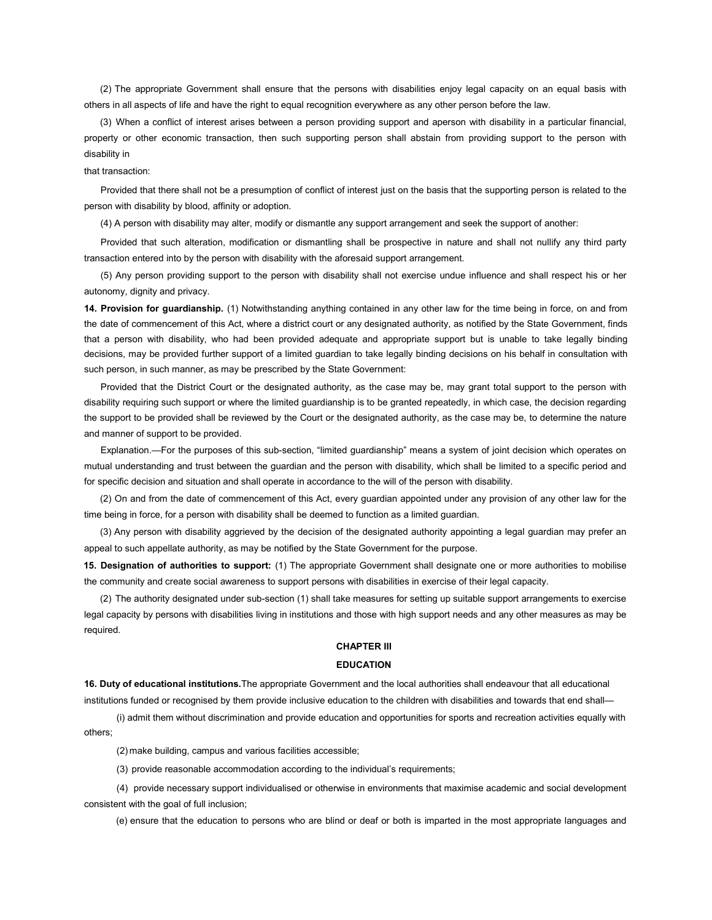(2) The appropriate Government shall ensure that the persons with disabilities enjoy legal capacity on an equal basis with others in all aspects of life and have the right to equal recognition everywhere as any other person before the law.

(3) When a conflict of interest arises between a person providing support and aperson with disability in a particular financial, property or other economic transaction, then such supporting person shall abstain from providing support to the person with disability in

## that transaction:

Provided that there shall not be a presumption of conflict of interest just on the basis that the supporting person is related to the person with disability by blood, affinity or adoption.

(4) A person with disability may alter, modify or dismantle any support arrangement and seek the support of another:

Provided that such alteration, modification or dismantling shall be prospective in nature and shall not nullify any third party transaction entered into by the person with disability with the aforesaid support arrangement.

(5) Any person providing support to the person with disability shall not exercise undue influence and shall respect his or her autonomy, dignity and privacy.

14. Provision for guardianship. (1) Notwithstanding anything contained in any other law for the time being in force, on and from the date of commencement of this Act, where a district court or any designated authority, as notified by the State Government, finds that a person with disability, who had been provided adequate and appropriate support but is unable to take legally binding decisions, may be provided further support of a limited guardian to take legally binding decisions on his behalf in consultation with such person, in such manner, as may be prescribed by the State Government:

Provided that the District Court or the designated authority, as the case may be, may grant total support to the person with disability requiring such support or where the limited guardianship is to be granted repeatedly, in which case, the decision regarding the support to be provided shall be reviewed by the Court or the designated authority, as the case may be, to determine the nature and manner of support to be provided.

Explanation.—For the purposes of this sub-section, "limited guardianship" means a system of joint decision which operates on mutual understanding and trust between the guardian and the person with disability, which shall be limited to a specific period and for specific decision and situation and shall operate in accordance to the will of the person with disability.

(2) On and from the date of commencement of this Act, every guardian appointed under any provision of any other law for the time being in force, for a person with disability shall be deemed to function as a limited guardian.

(3) Any person with disability aggrieved by the decision of the designated authority appointing a legal guardian may prefer an appeal to such appellate authority, as may be notified by the State Government for the purpose.

15. Designation of authorities to support: (1) The appropriate Government shall designate one or more authorities to mobilise the community and create social awareness to support persons with disabilities in exercise of their legal capacity.

(2) The authority designated under sub-section (1) shall take measures for setting up suitable support arrangements to exercise legal capacity by persons with disabilities living in institutions and those with high support needs and any other measures as may be required.

## CHAPTER III

#### EDUCATION

16. Duty of educational institutions.The appropriate Government and the local authorities shall endeavour that all educational institutions funded or recognised by them provide inclusive education to the children with disabilities and towards that end shall—

(i) admit them without discrimination and provide education and opportunities for sports and recreation activities equally with others;

(2) make building, campus and various facilities accessible;

(3) provide reasonable accommodation according to the individual's requirements;

(4) provide necessary support individualised or otherwise in environments that maximise academic and social development consistent with the goal of full inclusion;

(e) ensure that the education to persons who are blind or deaf or both is imparted in the most appropriate languages and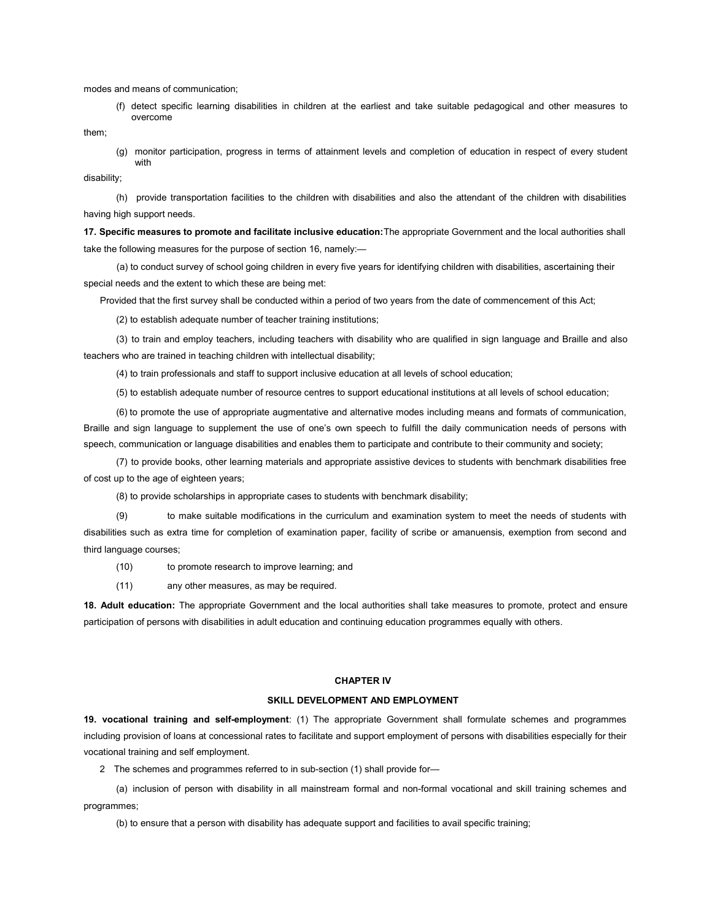modes and means of communication;

(f) detect specific learning disabilities in children at the earliest and take suitable pedagogical and other measures to overcome

them;

(g) monitor participation, progress in terms of attainment levels and completion of education in respect of every student with

disability;

(h) provide transportation facilities to the children with disabilities and also the attendant of the children with disabilities having high support needs.

17. Specific measures to promote and facilitate inclusive education:The appropriate Government and the local authorities shall take the following measures for the purpose of section 16, namely:—

(a) to conduct survey of school going children in every five years for identifying children with disabilities, ascertaining their special needs and the extent to which these are being met:

Provided that the first survey shall be conducted within a period of two years from the date of commencement of this Act;

(2) to establish adequate number of teacher training institutions;

(3) to train and employ teachers, including teachers with disability who are qualified in sign language and Braille and also teachers who are trained in teaching children with intellectual disability;

(4) to train professionals and staff to support inclusive education at all levels of school education;

(5) to establish adequate number of resource centres to support educational institutions at all levels of school education;

(6) to promote the use of appropriate augmentative and alternative modes including means and formats of communication, Braille and sign language to supplement the use of one's own speech to fulfill the daily communication needs of persons with speech, communication or language disabilities and enables them to participate and contribute to their community and society;

(7) to provide books, other learning materials and appropriate assistive devices to students with benchmark disabilities free of cost up to the age of eighteen years;

(8) to provide scholarships in appropriate cases to students with benchmark disability;

(9) to make suitable modifications in the curriculum and examination system to meet the needs of students with disabilities such as extra time for completion of examination paper, facility of scribe or amanuensis, exemption from second and third language courses;

(10) to promote research to improve learning; and

(11) any other measures, as may be required.

18. Adult education: The appropriate Government and the local authorities shall take measures to promote, protect and ensure participation of persons with disabilities in adult education and continuing education programmes equally with others.

#### CHAPTER IV

## SKILL DEVELOPMENT AND EMPLOYMENT

19. vocational training and self-employment: (1) The appropriate Government shall formulate schemes and programmes including provision of loans at concessional rates to facilitate and support employment of persons with disabilities especially for their vocational training and self employment.

2 The schemes and programmes referred to in sub-section (1) shall provide for—

(a) inclusion of person with disability in all mainstream formal and non-formal vocational and skill training schemes and programmes;

(b) to ensure that a person with disability has adequate support and facilities to avail specific training;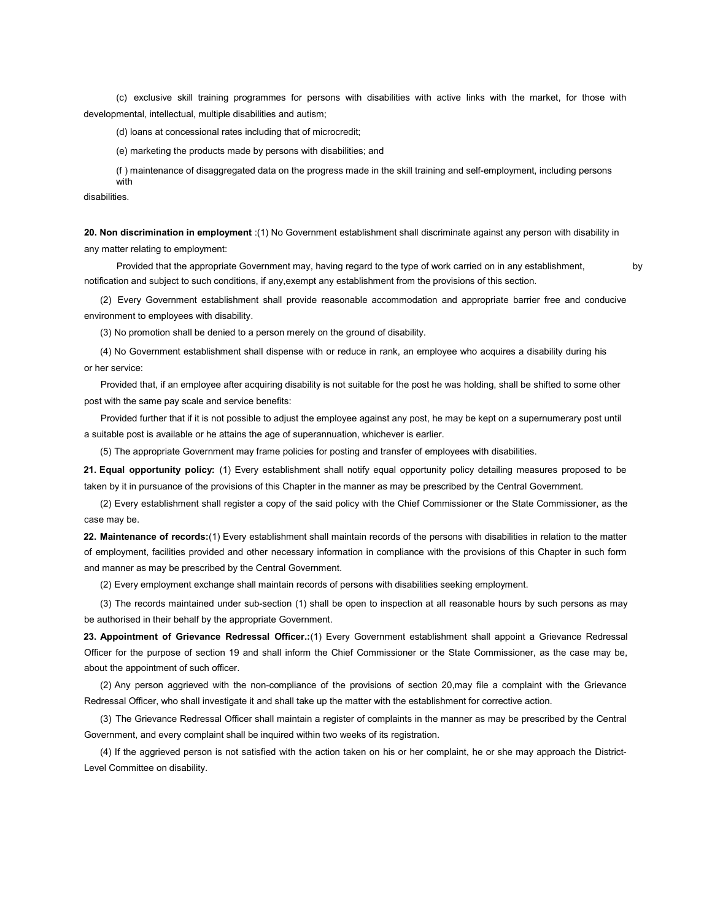(c) exclusive skill training programmes for persons with disabilities with active links with the market, for those with developmental, intellectual, multiple disabilities and autism;

(d) loans at concessional rates including that of microcredit;

(e) marketing the products made by persons with disabilities; and

(f ) maintenance of disaggregated data on the progress made in the skill training and self-employment, including persons with

disabilities.

20. Non discrimination in employment :(1) No Government establishment shall discriminate against any person with disability in any matter relating to employment:

Provided that the appropriate Government may, having regard to the type of work carried on in any establishment, notification and subject to such conditions, if any,exempt any establishment from the provisions of this section.

(2) Every Government establishment shall provide reasonable accommodation and appropriate barrier free and conducive environment to employees with disability.

(3) No promotion shall be denied to a person merely on the ground of disability.

(4) No Government establishment shall dispense with or reduce in rank, an employee who acquires a disability during his or her service:

Provided that, if an employee after acquiring disability is not suitable for the post he was holding, shall be shifted to some other post with the same pay scale and service benefits:

Provided further that if it is not possible to adjust the employee against any post, he may be kept on a supernumerary post until a suitable post is available or he attains the age of superannuation, whichever is earlier.

(5) The appropriate Government may frame policies for posting and transfer of employees with disabilities.

21. Equal opportunity policy: (1) Every establishment shall notify equal opportunity policy detailing measures proposed to be taken by it in pursuance of the provisions of this Chapter in the manner as may be prescribed by the Central Government.

(2) Every establishment shall register a copy of the said policy with the Chief Commissioner or the State Commissioner, as the case may be.

22. Maintenance of records:(1) Every establishment shall maintain records of the persons with disabilities in relation to the matter of employment, facilities provided and other necessary information in compliance with the provisions of this Chapter in such form and manner as may be prescribed by the Central Government.

(2) Every employment exchange shall maintain records of persons with disabilities seeking employment.

(3) The records maintained under sub-section (1) shall be open to inspection at all reasonable hours by such persons as may be authorised in their behalf by the appropriate Government.

23. Appointment of Grievance Redressal Officer.:(1) Every Government establishment shall appoint a Grievance Redressal Officer for the purpose of section 19 and shall inform the Chief Commissioner or the State Commissioner, as the case may be, about the appointment of such officer.

(2) Any person aggrieved with the non-compliance of the provisions of section 20,may file a complaint with the Grievance Redressal Officer, who shall investigate it and shall take up the matter with the establishment for corrective action.

(3) The Grievance Redressal Officer shall maintain a register of complaints in the manner as may be prescribed by the Central Government, and every complaint shall be inquired within two weeks of its registration.

(4) If the aggrieved person is not satisfied with the action taken on his or her complaint, he or she may approach the District-Level Committee on disability.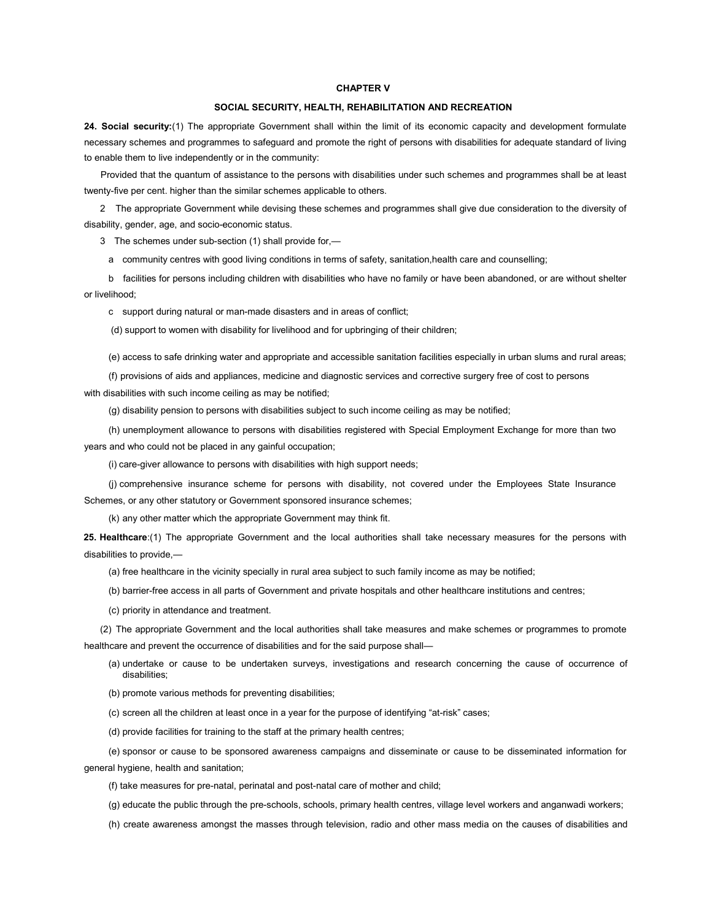#### CHAPTER V

## SOCIAL SECURITY, HEALTH, REHABILITATION AND RECREATION

24. Social security:(1) The appropriate Government shall within the limit of its economic capacity and development formulate necessary schemes and programmes to safeguard and promote the right of persons with disabilities for adequate standard of living to enable them to live independently or in the community:

Provided that the quantum of assistance to the persons with disabilities under such schemes and programmes shall be at least twenty-five per cent. higher than the similar schemes applicable to others.

2 The appropriate Government while devising these schemes and programmes shall give due consideration to the diversity of disability, gender, age, and socio-economic status.

3 The schemes under sub-section (1) shall provide for,—

a community centres with good living conditions in terms of safety, sanitation,health care and counselling;

b facilities for persons including children with disabilities who have no family or have been abandoned, or are without shelter or livelihood;

c support during natural or man-made disasters and in areas of conflict;

(d) support to women with disability for livelihood and for upbringing of their children;

(e) access to safe drinking water and appropriate and accessible sanitation facilities especially in urban slums and rural areas;

(f) provisions of aids and appliances, medicine and diagnostic services and corrective surgery free of cost to persons with disabilities with such income ceiling as may be notified;

(g) disability pension to persons with disabilities subject to such income ceiling as may be notified;

(h) unemployment allowance to persons with disabilities registered with Special Employment Exchange for more than two years and who could not be placed in any gainful occupation;

(i) care-giver allowance to persons with disabilities with high support needs;

(j) comprehensive insurance scheme for persons with disability, not covered under the Employees State Insurance Schemes, or any other statutory or Government sponsored insurance schemes;

(k) any other matter which the appropriate Government may think fit.

25. Healthcare:(1) The appropriate Government and the local authorities shall take necessary measures for the persons with disabilities to provide,—

(a) free healthcare in the vicinity specially in rural area subject to such family income as may be notified;

(b) barrier-free access in all parts of Government and private hospitals and other healthcare institutions and centres;

(c) priority in attendance and treatment.

(2) The appropriate Government and the local authorities shall take measures and make schemes or programmes to promote healthcare and prevent the occurrence of disabilities and for the said purpose shall—

- (a) undertake or cause to be undertaken surveys, investigations and research concerning the cause of occurrence of disabilities;
- (b) promote various methods for preventing disabilities;
- (c) screen all the children at least once in a year for the purpose of identifying "at-risk" cases;

(d) provide facilities for training to the staff at the primary health centres;

(e) sponsor or cause to be sponsored awareness campaigns and disseminate or cause to be disseminated information for general hygiene, health and sanitation;

(f) take measures for pre-natal, perinatal and post-natal care of mother and child;

(g) educate the public through the pre-schools, schools, primary health centres, village level workers and anganwadi workers;

(h) create awareness amongst the masses through television, radio and other mass media on the causes of disabilities and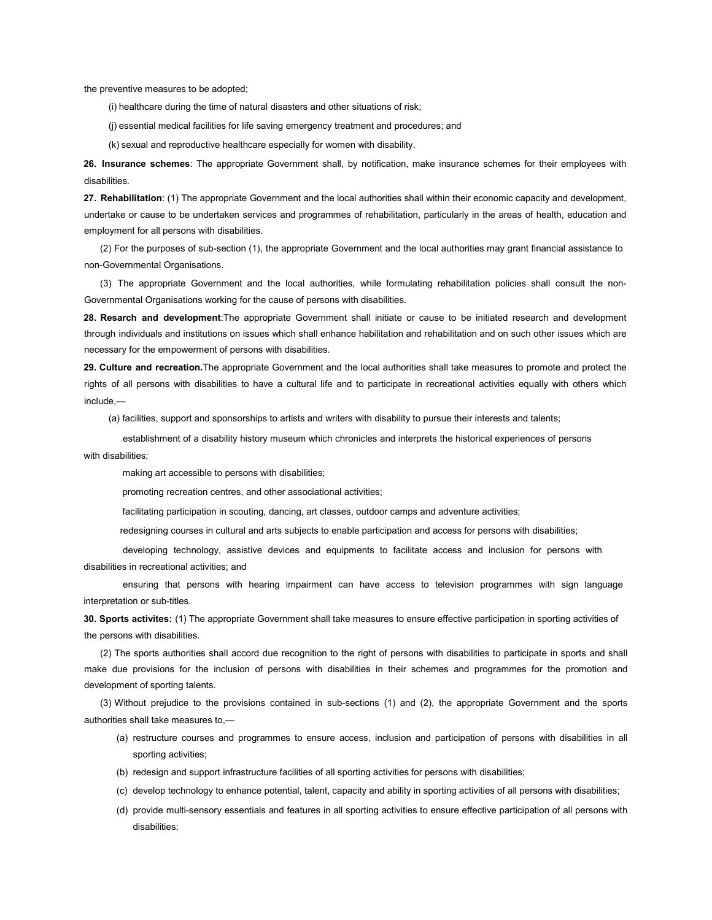the preventive measures to be adopted;

(i) healthcare during the time of natural disasters and other situations of risk;

(j) essential medical facilities for life saving emergency treatment and procedures; and

(k) sexual and reproductive healthcare especially for women with disability.

26. Insurance schemes: The appropriate Government shall, by notification, make insurance schemes for their employees with disabilities.

27. Rehabilitation: (1) The appropriate Government and the local authorities shall within their economic capacity and development, undertake or cause to be undertaken services and programmes of rehabilitation, particularly in the areas of health, education and employment for all persons with disabilities.

(2) For the purposes of sub-section (1), the appropriate Government and the local authorities may grant financial assistance to non-Governmental Organisations.

(3) The appropriate Government and the local authorities, while formulating rehabilitation policies shall consult the non-Governmental Organisations working for the cause of persons with disabilities.

28. Resarch and development: The appropriate Government shall initiate or cause to be initiated research and development through individuals and institutions on issues which shall enhance habilitation and rehabilitation and on such other issues which are necessary for the empowerment of persons with disabilities.

29. Culture and recreation. The appropriate Government and the local authorities shall take measures to promote and protect the rights of all persons with disabilities to have a cultural life and to participate in recreational activities equally with others which include,—

(a) facilities, support and sponsorships to artists and writers with disability to pursue their interests and talents;

 establishment of a disability history museum which chronicles and interprets the historical experiences of persons with disabilities;

making art accessible to persons with disabilities;

promoting recreation centres, and other associational activities;

facilitating participation in scouting, dancing, art classes, outdoor camps and adventure activities;

redesigning courses in cultural and arts subjects to enable participation and access for persons with disabilities;

 developing technology, assistive devices and equipments to facilitate access and inclusion for persons with disabilities in recreational activities; and

 ensuring that persons with hearing impairment can have access to television programmes with sign language interpretation or sub-titles.

30. Sports activites: (1) The appropriate Government shall take measures to ensure effective participation in sporting activities of the persons with disabilities.

(2) The sports authorities shall accord due recognition to the right of persons with disabilities to participate in sports and shall make due provisions for the inclusion of persons with disabilities in their schemes and programmes for the promotion and development of sporting talents.

(3) Without prejudice to the provisions contained in sub-sections (1) and (2), the appropriate Government and the sports authorities shall take measures to,—

- (a) restructure courses and programmes to ensure access, inclusion and participation of persons with disabilities in all sporting activities;
- (b) redesign and support infrastructure facilities of all sporting activities for persons with disabilities;
- (c) develop technology to enhance potential, talent, capacity and ability in sporting activities of all persons with disabilities;
- (d) provide multi-sensory essentials and features in all sporting activities to ensure effective participation of all persons with disabilities;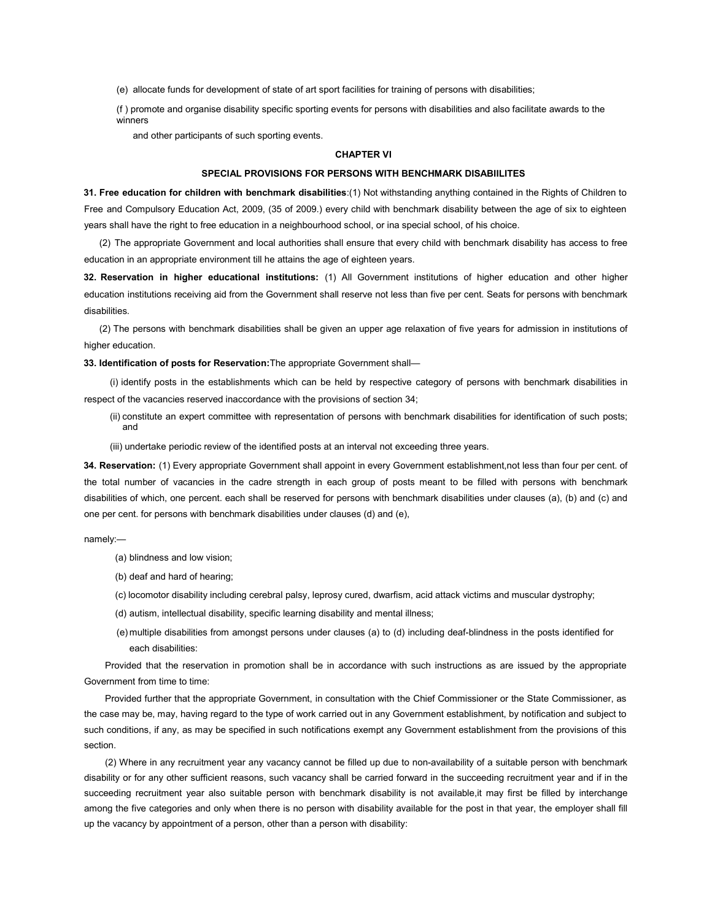(e) allocate funds for development of state of art sport facilities for training of persons with disabilities;

(f ) promote and organise disability specific sporting events for persons with disabilities and also facilitate awards to the winners

and other participants of such sporting events.

## CHAPTER VI

## SPECIAL PROVISIONS FOR PERSONS WITH BENCHMARK DISABIILITES

31. Free education for children with benchmark disabilities:(1) Not withstanding anything contained in the Rights of Children to Free and Compulsory Education Act, 2009, (35 of 2009.) every child with benchmark disability between the age of six to eighteen years shall have the right to free education in a neighbourhood school, or ina special school, of his choice.

(2) The appropriate Government and local authorities shall ensure that every child with benchmark disability has access to free education in an appropriate environment till he attains the age of eighteen years.

32. Reservation in higher educational institutions: (1) All Government institutions of higher education and other higher education institutions receiving aid from the Government shall reserve not less than five per cent. Seats for persons with benchmark disabilities.

(2) The persons with benchmark disabilities shall be given an upper age relaxation of five years for admission in institutions of higher education.

33. Identification of posts for Reservation: The appropriate Government shall-

(i) identify posts in the establishments which can be held by respective category of persons with benchmark disabilities in respect of the vacancies reserved inaccordance with the provisions of section 34;

- (ii) constitute an expert committee with representation of persons with benchmark disabilities for identification of such posts; and
- (iii) undertake periodic review of the identified posts at an interval not exceeding three years.

34. Reservation: (1) Every appropriate Government shall appoint in every Government establishment,not less than four per cent. of the total number of vacancies in the cadre strength in each group of posts meant to be filled with persons with benchmark disabilities of which, one percent. each shall be reserved for persons with benchmark disabilities under clauses (a), (b) and (c) and one per cent. for persons with benchmark disabilities under clauses (d) and (e),

namely:—

- (a) blindness and low vision;
- (b) deaf and hard of hearing;
- (c) locomotor disability including cerebral palsy, leprosy cured, dwarfism, acid attack victims and muscular dystrophy;
- (d) autism, intellectual disability, specific learning disability and mental illness;
- (e) multiple disabilities from amongst persons under clauses (a) to (d) including deaf-blindness in the posts identified for each disabilities:

Provided that the reservation in promotion shall be in accordance with such instructions as are issued by the appropriate Government from time to time:

Provided further that the appropriate Government, in consultation with the Chief Commissioner or the State Commissioner, as the case may be, may, having regard to the type of work carried out in any Government establishment, by notification and subject to such conditions, if any, as may be specified in such notifications exempt any Government establishment from the provisions of this section.

(2) Where in any recruitment year any vacancy cannot be filled up due to non-availability of a suitable person with benchmark disability or for any other sufficient reasons, such vacancy shall be carried forward in the succeeding recruitment year and if in the succeeding recruitment year also suitable person with benchmark disability is not available,it may first be filled by interchange among the five categories and only when there is no person with disability available for the post in that year, the employer shall fill up the vacancy by appointment of a person, other than a person with disability: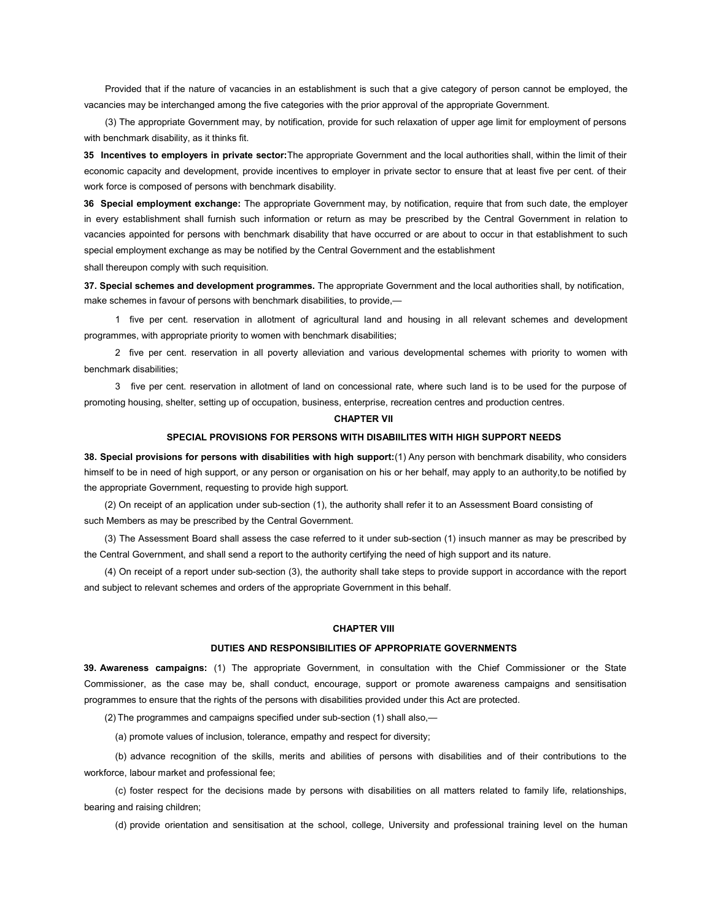Provided that if the nature of vacancies in an establishment is such that a give category of person cannot be employed, the vacancies may be interchanged among the five categories with the prior approval of the appropriate Government.

(3) The appropriate Government may, by notification, provide for such relaxation of upper age limit for employment of persons with benchmark disability, as it thinks fit.

35 Incentives to employers in private sector: The appropriate Government and the local authorities shall, within the limit of their economic capacity and development, provide incentives to employer in private sector to ensure that at least five per cent. of their work force is composed of persons with benchmark disability.

36 Special employment exchange: The appropriate Government may, by notification, require that from such date, the employer in every establishment shall furnish such information or return as may be prescribed by the Central Government in relation to vacancies appointed for persons with benchmark disability that have occurred or are about to occur in that establishment to such special employment exchange as may be notified by the Central Government and the establishment

shall thereupon comply with such requisition.

37. Special schemes and development programmes. The appropriate Government and the local authorities shall, by notification, make schemes in favour of persons with benchmark disabilities, to provide,—

1 five per cent. reservation in allotment of agricultural land and housing in all relevant schemes and development programmes, with appropriate priority to women with benchmark disabilities;

2 five per cent. reservation in all poverty alleviation and various developmental schemes with priority to women with benchmark disabilities;

3 five per cent. reservation in allotment of land on concessional rate, where such land is to be used for the purpose of promoting housing, shelter, setting up of occupation, business, enterprise, recreation centres and production centres.

#### CHAPTER VII

### SPECIAL PROVISIONS FOR PERSONS WITH DISABIILITES WITH HIGH SUPPORT NEEDS

38. Special provisions for persons with disabilities with high support:(1) Any person with benchmark disability, who considers himself to be in need of high support, or any person or organisation on his or her behalf, may apply to an authority,to be notified by the appropriate Government, requesting to provide high support.

(2) On receipt of an application under sub-section (1), the authority shall refer it to an Assessment Board consisting of such Members as may be prescribed by the Central Government.

(3) The Assessment Board shall assess the case referred to it under sub-section (1) insuch manner as may be prescribed by the Central Government, and shall send a report to the authority certifying the need of high support and its nature.

(4) On receipt of a report under sub-section (3), the authority shall take steps to provide support in accordance with the report and subject to relevant schemes and orders of the appropriate Government in this behalf.

## CHAPTER VIII

#### DUTIES AND RESPONSIBILITIES OF APPROPRIATE GOVERNMENTS

39. Awareness campaigns: (1) The appropriate Government, in consultation with the Chief Commissioner or the State Commissioner, as the case may be, shall conduct, encourage, support or promote awareness campaigns and sensitisation programmes to ensure that the rights of the persons with disabilities provided under this Act are protected.

(2) The programmes and campaigns specified under sub-section (1) shall also,—

(a) promote values of inclusion, tolerance, empathy and respect for diversity;

(b) advance recognition of the skills, merits and abilities of persons with disabilities and of their contributions to the workforce, labour market and professional fee;

(c) foster respect for the decisions made by persons with disabilities on all matters related to family life, relationships, bearing and raising children;

(d) provide orientation and sensitisation at the school, college, University and professional training level on the human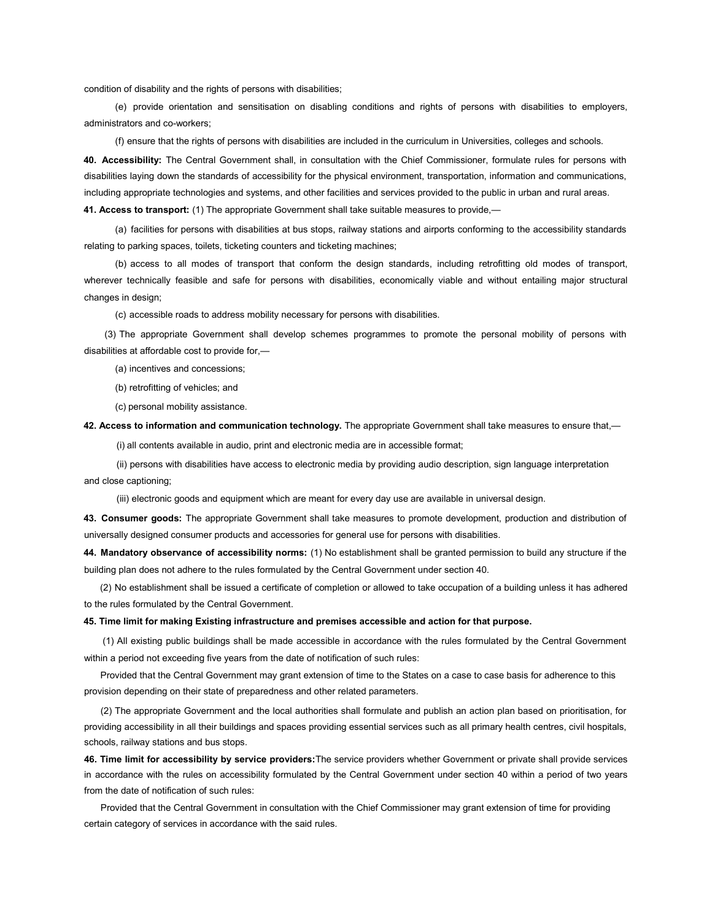condition of disability and the rights of persons with disabilities;

(e) provide orientation and sensitisation on disabling conditions and rights of persons with disabilities to employers, administrators and co-workers;

(f) ensure that the rights of persons with disabilities are included in the curriculum in Universities, colleges and schools.

40. Accessibility: The Central Government shall, in consultation with the Chief Commissioner, formulate rules for persons with disabilities laying down the standards of accessibility for the physical environment, transportation, information and communications, including appropriate technologies and systems, and other facilities and services provided to the public in urban and rural areas.

41. Access to transport: (1) The appropriate Government shall take suitable measures to provide,-

(a) facilities for persons with disabilities at bus stops, railway stations and airports conforming to the accessibility standards relating to parking spaces, toilets, ticketing counters and ticketing machines;

(b) access to all modes of transport that conform the design standards, including retrofitting old modes of transport, wherever technically feasible and safe for persons with disabilities, economically viable and without entailing major structural changes in design;

(c) accessible roads to address mobility necessary for persons with disabilities.

(3) The appropriate Government shall develop schemes programmes to promote the personal mobility of persons with disabilities at affordable cost to provide for,—

(a) incentives and concessions;

(b) retrofitting of vehicles; and

(c) personal mobility assistance.

42. Access to information and communication technology. The appropriate Government shall take measures to ensure that,-

(i) all contents available in audio, print and electronic media are in accessible format;

(ii) persons with disabilities have access to electronic media by providing audio description, sign language interpretation and close captioning;

(iii) electronic goods and equipment which are meant for every day use are available in universal design.

43. Consumer goods: The appropriate Government shall take measures to promote development, production and distribution of universally designed consumer products and accessories for general use for persons with disabilities.

44. Mandatory observance of accessibility norms: (1) No establishment shall be granted permission to build any structure if the building plan does not adhere to the rules formulated by the Central Government under section 40.

(2) No establishment shall be issued a certificate of completion or allowed to take occupation of a building unless it has adhered to the rules formulated by the Central Government.

#### 45. Time limit for making Existing infrastructure and premises accessible and action for that purpose.

(1) All existing public buildings shall be made accessible in accordance with the rules formulated by the Central Government within a period not exceeding five years from the date of notification of such rules:

Provided that the Central Government may grant extension of time to the States on a case to case basis for adherence to this provision depending on their state of preparedness and other related parameters.

(2) The appropriate Government and the local authorities shall formulate and publish an action plan based on prioritisation, for providing accessibility in all their buildings and spaces providing essential services such as all primary health centres, civil hospitals, schools, railway stations and bus stops.

46. Time limit for accessibility by service providers:The service providers whether Government or private shall provide services in accordance with the rules on accessibility formulated by the Central Government under section 40 within a period of two years from the date of notification of such rules:

Provided that the Central Government in consultation with the Chief Commissioner may grant extension of time for providing certain category of services in accordance with the said rules.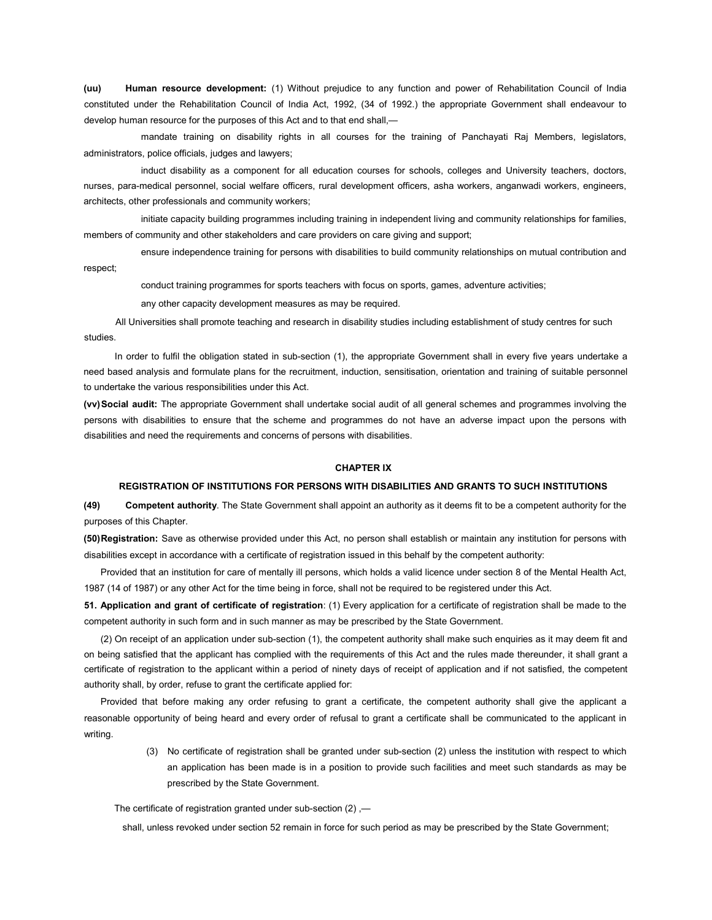(uu) Human resource development: (1) Without prejudice to any function and power of Rehabilitation Council of India constituted under the Rehabilitation Council of India Act, 1992, (34 of 1992.) the appropriate Government shall endeavour to develop human resource for the purposes of this Act and to that end shall,—

 mandate training on disability rights in all courses for the training of Panchayati Raj Members, legislators, administrators, police officials, judges and lawyers;

 induct disability as a component for all education courses for schools, colleges and University teachers, doctors, nurses, para-medical personnel, social welfare officers, rural development officers, asha workers, anganwadi workers, engineers, architects, other professionals and community workers;

 initiate capacity building programmes including training in independent living and community relationships for families, members of community and other stakeholders and care providers on care giving and support;

ensure independence training for persons with disabilities to build community relationships on mutual contribution and

respect;

conduct training programmes for sports teachers with focus on sports, games, adventure activities;

any other capacity development measures as may be required.

 All Universities shall promote teaching and research in disability studies including establishment of study centres for such studies.

 In order to fulfil the obligation stated in sub-section (1), the appropriate Government shall in every five years undertake a need based analysis and formulate plans for the recruitment, induction, sensitisation, orientation and training of suitable personnel to undertake the various responsibilities under this Act.

(vv) Social audit: The appropriate Government shall undertake social audit of all general schemes and programmes involving the persons with disabilities to ensure that the scheme and programmes do not have an adverse impact upon the persons with disabilities and need the requirements and concerns of persons with disabilities.

## CHAPTER IX

## REGISTRATION OF INSTITUTIONS FOR PERSONS WITH DISABILITIES AND GRANTS TO SUCH INSTITUTIONS

(49) Competent authority. The State Government shall appoint an authority as it deems fit to be a competent authority for the purposes of this Chapter.

(50) Registration: Save as otherwise provided under this Act, no person shall establish or maintain any institution for persons with disabilities except in accordance with a certificate of registration issued in this behalf by the competent authority:

Provided that an institution for care of mentally ill persons, which holds a valid licence under section 8 of the Mental Health Act, 1987 (14 of 1987) or any other Act for the time being in force, shall not be required to be registered under this Act.

51. Application and grant of certificate of registration: (1) Every application for a certificate of registration shall be made to the competent authority in such form and in such manner as may be prescribed by the State Government.

(2) On receipt of an application under sub-section (1), the competent authority shall make such enquiries as it may deem fit and on being satisfied that the applicant has complied with the requirements of this Act and the rules made thereunder, it shall grant a certificate of registration to the applicant within a period of ninety days of receipt of application and if not satisfied, the competent authority shall, by order, refuse to grant the certificate applied for:

Provided that before making any order refusing to grant a certificate, the competent authority shall give the applicant a reasonable opportunity of being heard and every order of refusal to grant a certificate shall be communicated to the applicant in writing.

> (3) No certificate of registration shall be granted under sub-section (2) unless the institution with respect to which an application has been made is in a position to provide such facilities and meet such standards as may be prescribed by the State Government.

The certificate of registration granted under sub-section (2) ,—

shall, unless revoked under section 52 remain in force for such period as may be prescribed by the State Government;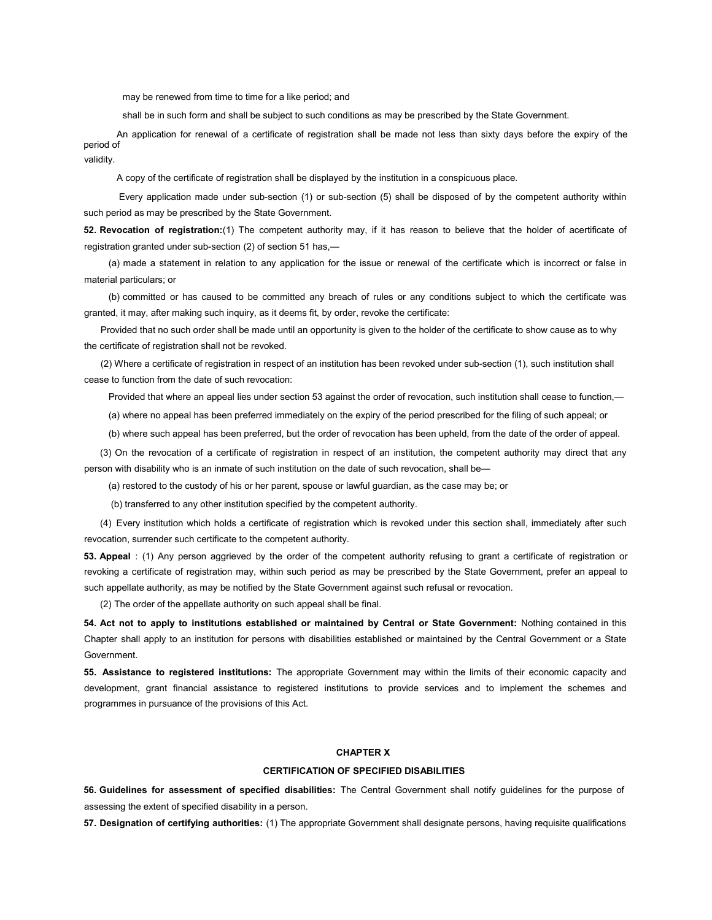may be renewed from time to time for a like period; and

shall be in such form and shall be subject to such conditions as may be prescribed by the State Government.

 An application for renewal of a certificate of registration shall be made not less than sixty days before the expiry of the period of validity.

A copy of the certificate of registration shall be displayed by the institution in a conspicuous place.

 Every application made under sub-section (1) or sub-section (5) shall be disposed of by the competent authority within such period as may be prescribed by the State Government.

52. Revocation of registration:(1) The competent authority may, if it has reason to believe that the holder of acertificate of registration granted under sub-section (2) of section 51 has,—

(a) made a statement in relation to any application for the issue or renewal of the certificate which is incorrect or false in material particulars; or

(b) committed or has caused to be committed any breach of rules or any conditions subject to which the certificate was granted, it may, after making such inquiry, as it deems fit, by order, revoke the certificate:

Provided that no such order shall be made until an opportunity is given to the holder of the certificate to show cause as to why the certificate of registration shall not be revoked.

(2) Where a certificate of registration in respect of an institution has been revoked under sub-section (1), such institution shall cease to function from the date of such revocation:

Provided that where an appeal lies under section 53 against the order of revocation, such institution shall cease to function,—

(a) where no appeal has been preferred immediately on the expiry of the period prescribed for the filing of such appeal; or

(b) where such appeal has been preferred, but the order of revocation has been upheld, from the date of the order of appeal.

(3) On the revocation of a certificate of registration in respect of an institution, the competent authority may direct that any person with disability who is an inmate of such institution on the date of such revocation, shall be—

(a) restored to the custody of his or her parent, spouse or lawful guardian, as the case may be; or

(b) transferred to any other institution specified by the competent authority.

(4) Every institution which holds a certificate of registration which is revoked under this section shall, immediately after such revocation, surrender such certificate to the competent authority.

53. Appeal : (1) Any person aggrieved by the order of the competent authority refusing to grant a certificate of registration or revoking a certificate of registration may, within such period as may be prescribed by the State Government, prefer an appeal to such appellate authority, as may be notified by the State Government against such refusal or revocation.

(2) The order of the appellate authority on such appeal shall be final.

54. Act not to apply to institutions established or maintained by Central or State Government: Nothing contained in this Chapter shall apply to an institution for persons with disabilities established or maintained by the Central Government or a State Government.

55. Assistance to registered institutions: The appropriate Government may within the limits of their economic capacity and development, grant financial assistance to registered institutions to provide services and to implement the schemes and programmes in pursuance of the provisions of this Act.

## CHAPTER X

## CERTIFICATION OF SPECIFIED DISABILITIES

56. Guidelines for assessment of specified disabilities: The Central Government shall notify guidelines for the purpose of assessing the extent of specified disability in a person.

57. Designation of certifying authorities: (1) The appropriate Government shall designate persons, having requisite qualifications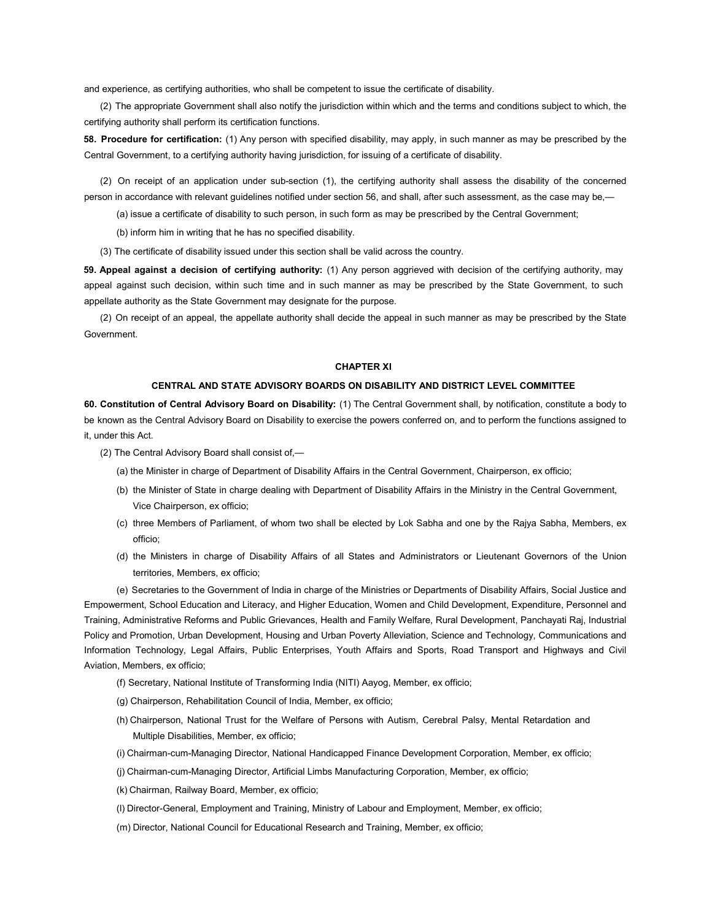and experience, as certifying authorities, who shall be competent to issue the certificate of disability.

(2) The appropriate Government shall also notify the jurisdiction within which and the terms and conditions subject to which, the certifying authority shall perform its certification functions.

58. Procedure for certification: (1) Any person with specified disability, may apply, in such manner as may be prescribed by the Central Government, to a certifying authority having jurisdiction, for issuing of a certificate of disability.

(2) On receipt of an application under sub-section (1), the certifying authority shall assess the disability of the concerned person in accordance with relevant guidelines notified under section 56, and shall, after such assessment, as the case may be,—

(a) issue a certificate of disability to such person, in such form as may be prescribed by the Central Government;

(b) inform him in writing that he has no specified disability.

(3) The certificate of disability issued under this section shall be valid across the country.

59. Appeal against a decision of certifying authority: (1) Any person aggrieved with decision of the certifying authority, may appeal against such decision, within such time and in such manner as may be prescribed by the State Government, to such appellate authority as the State Government may designate for the purpose.

(2) On receipt of an appeal, the appellate authority shall decide the appeal in such manner as may be prescribed by the State Government.

## CHAPTER XI

### CENTRAL AND STATE ADVISORY BOARDS ON DISABILITY AND DISTRICT LEVEL COMMITTEE

60. Constitution of Central Advisory Board on Disability: (1) The Central Government shall, by notification, constitute a body to be known as the Central Advisory Board on Disability to exercise the powers conferred on, and to perform the functions assigned to it, under this Act.

- (2) The Central Advisory Board shall consist of,—
	- (a) the Minister in charge of Department of Disability Affairs in the Central Government, Chairperson, ex officio;
	- (b) the Minister of State in charge dealing with Department of Disability Affairs in the Ministry in the Central Government, Vice Chairperson, ex officio;
	- (c) three Members of Parliament, of whom two shall be elected by Lok Sabha and one by the Rajya Sabha, Members, ex officio;
	- (d) the Ministers in charge of Disability Affairs of all States and Administrators or Lieutenant Governors of the Union territories, Members, ex officio;

(e) Secretaries to the Government of India in charge of the Ministries or Departments of Disability Affairs, Social Justice and Empowerment, School Education and Literacy, and Higher Education, Women and Child Development, Expenditure, Personnel and Training, Administrative Reforms and Public Grievances, Health and Family Welfare, Rural Development, Panchayati Raj, Industrial Policy and Promotion, Urban Development, Housing and Urban Poverty Alleviation, Science and Technology, Communications and Information Technology, Legal Affairs, Public Enterprises, Youth Affairs and Sports, Road Transport and Highways and Civil Aviation, Members, ex officio;

- (f) Secretary, National Institute of Transforming India (NITI) Aayog, Member, ex officio;
- (g) Chairperson, Rehabilitation Council of India, Member, ex officio;
- (h) Chairperson, National Trust for the Welfare of Persons with Autism, Cerebral Palsy, Mental Retardation and Multiple Disabilities, Member, ex officio;
- (i) Chairman-cum-Managing Director, National Handicapped Finance Development Corporation, Member, ex officio;
- (j) Chairman-cum-Managing Director, Artificial Limbs Manufacturing Corporation, Member, ex officio;
- (k) Chairman, Railway Board, Member, ex officio;
- (l) Director-General, Employment and Training, Ministry of Labour and Employment, Member, ex officio;
- (m) Director, National Council for Educational Research and Training, Member, ex officio;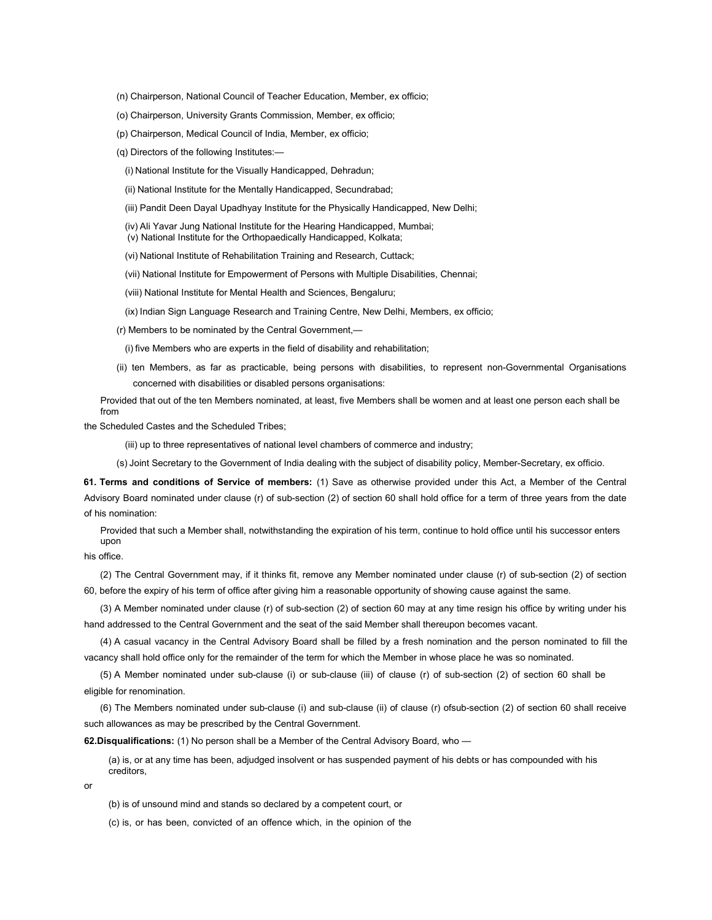- (n) Chairperson, National Council of Teacher Education, Member, ex officio;
- (o) Chairperson, University Grants Commission, Member, ex officio;
- (p) Chairperson, Medical Council of India, Member, ex officio;
- (q) Directors of the following Institutes:—
	- (i) National Institute for the Visually Handicapped, Dehradun;
	- (ii) National Institute for the Mentally Handicapped, Secundrabad;
	- (iii) Pandit Deen Dayal Upadhyay Institute for the Physically Handicapped, New Delhi;
	- (iv) Ali Yavar Jung National Institute for the Hearing Handicapped, Mumbai;
	- (v) National Institute for the Orthopaedically Handicapped, Kolkata;
	- (vi) National Institute of Rehabilitation Training and Research, Cuttack;
	- (vii) National Institute for Empowerment of Persons with Multiple Disabilities, Chennai;
	- (viii) National Institute for Mental Health and Sciences, Bengaluru;
	- (ix) Indian Sign Language Research and Training Centre, New Delhi, Members, ex officio;
- (r) Members to be nominated by the Central Government,—

(i) five Members who are experts in the field of disability and rehabilitation;

(ii) ten Members, as far as practicable, being persons with disabilities, to represent non-Governmental Organisations concerned with disabilities or disabled persons organisations:

Provided that out of the ten Members nominated, at least, five Members shall be women and at least one person each shall be from

the Scheduled Castes and the Scheduled Tribes;

(iii) up to three representatives of national level chambers of commerce and industry;

(s) Joint Secretary to the Government of India dealing with the subject of disability policy, Member-Secretary, ex officio.

61. Terms and conditions of Service of members: (1) Save as otherwise provided under this Act, a Member of the Central Advisory Board nominated under clause (r) of sub-section (2) of section 60 shall hold office for a term of three years from the date of his nomination:

Provided that such a Member shall, notwithstanding the expiration of his term, continue to hold office until his successor enters upon

his office.

(2) The Central Government may, if it thinks fit, remove any Member nominated under clause (r) of sub-section (2) of section 60, before the expiry of his term of office after giving him a reasonable opportunity of showing cause against the same.

(3) A Member nominated under clause (r) of sub-section (2) of section 60 may at any time resign his office by writing under his hand addressed to the Central Government and the seat of the said Member shall thereupon becomes vacant.

(4) A casual vacancy in the Central Advisory Board shall be filled by a fresh nomination and the person nominated to fill the vacancy shall hold office only for the remainder of the term for which the Member in whose place he was so nominated.

(5) A Member nominated under sub-clause (i) or sub-clause (iii) of clause (r) of sub-section (2) of section 60 shall be eligible for renomination.

(6) The Members nominated under sub-clause (i) and sub-clause (ii) of clause (r) ofsub-section (2) of section 60 shall receive such allowances as may be prescribed by the Central Government.

62.Disqualifications: (1) No person shall be a Member of the Central Advisory Board, who -

(a) is, or at any time has been, adjudged insolvent or has suspended payment of his debts or has compounded with his creditors,

or

(b) is of unsound mind and stands so declared by a competent court, or

(c) is, or has been, convicted of an offence which, in the opinion of the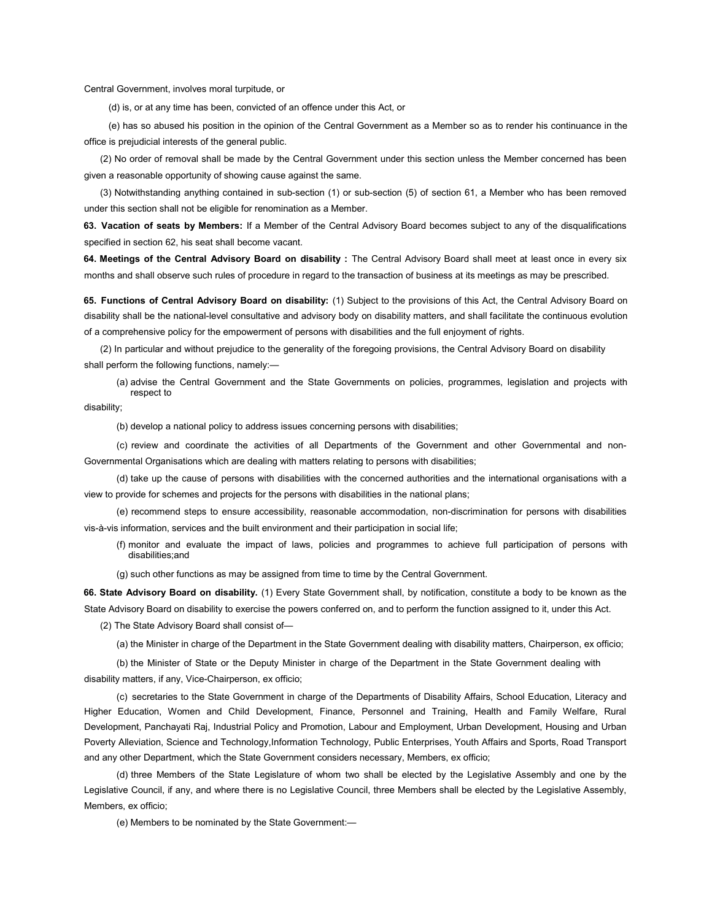Central Government, involves moral turpitude, or

(d) is, or at any time has been, convicted of an offence under this Act, or

(e) has so abused his position in the opinion of the Central Government as a Member so as to render his continuance in the office is prejudicial interests of the general public.

(2) No order of removal shall be made by the Central Government under this section unless the Member concerned has been given a reasonable opportunity of showing cause against the same.

(3) Notwithstanding anything contained in sub-section (1) or sub-section (5) of section 61, a Member who has been removed under this section shall not be eligible for renomination as a Member.

63. Vacation of seats by Members: If a Member of the Central Advisory Board becomes subject to any of the disqualifications specified in section 62, his seat shall become vacant.

64. Meetings of the Central Advisory Board on disability : The Central Advisory Board shall meet at least once in every six months and shall observe such rules of procedure in regard to the transaction of business at its meetings as may be prescribed.

65. Functions of Central Advisory Board on disability: (1) Subject to the provisions of this Act, the Central Advisory Board on disability shall be the national-level consultative and advisory body on disability matters, and shall facilitate the continuous evolution of a comprehensive policy for the empowerment of persons with disabilities and the full enjoyment of rights.

(2) In particular and without prejudice to the generality of the foregoing provisions, the Central Advisory Board on disability shall perform the following functions, namely:—

(a) advise the Central Government and the State Governments on policies, programmes, legislation and projects with respect to

disability;

(b) develop a national policy to address issues concerning persons with disabilities;

(c) review and coordinate the activities of all Departments of the Government and other Governmental and non-Governmental Organisations which are dealing with matters relating to persons with disabilities;

(d) take up the cause of persons with disabilities with the concerned authorities and the international organisations with a view to provide for schemes and projects for the persons with disabilities in the national plans;

(e) recommend steps to ensure accessibility, reasonable accommodation, non-discrimination for persons with disabilities vis-à-vis information, services and the built environment and their participation in social life;

- (f) monitor and evaluate the impact of laws, policies and programmes to achieve full participation of persons with disabilities;and
- (g) such other functions as may be assigned from time to time by the Central Government.

66. State Advisory Board on disability. (1) Every State Government shall, by notification, constitute a body to be known as the State Advisory Board on disability to exercise the powers conferred on, and to perform the function assigned to it, under this Act.

(2) The State Advisory Board shall consist of—

(a) the Minister in charge of the Department in the State Government dealing with disability matters, Chairperson, ex officio;

(b) the Minister of State or the Deputy Minister in charge of the Department in the State Government dealing with

disability matters, if any, Vice-Chairperson, ex officio;

(c) secretaries to the State Government in charge of the Departments of Disability Affairs, School Education, Literacy and Higher Education, Women and Child Development, Finance, Personnel and Training, Health and Family Welfare, Rural Development, Panchayati Raj, Industrial Policy and Promotion, Labour and Employment, Urban Development, Housing and Urban Poverty Alleviation, Science and Technology,Information Technology, Public Enterprises, Youth Affairs and Sports, Road Transport and any other Department, which the State Government considers necessary, Members, ex officio;

(d) three Members of the State Legislature of whom two shall be elected by the Legislative Assembly and one by the Legislative Council, if any, and where there is no Legislative Council, three Members shall be elected by the Legislative Assembly, Members, ex officio;

(e) Members to be nominated by the State Government:—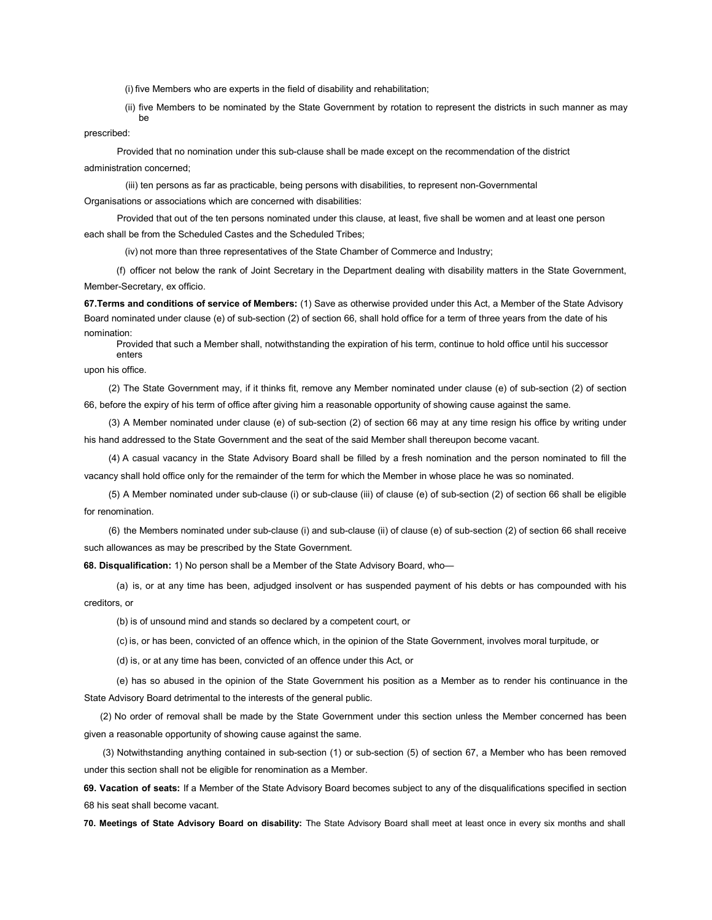(i) five Members who are experts in the field of disability and rehabilitation;

(ii) five Members to be nominated by the State Government by rotation to represent the districts in such manner as may be

prescribed:

Provided that no nomination under this sub-clause shall be made except on the recommendation of the district administration concerned;

(iii) ten persons as far as practicable, being persons with disabilities, to represent non-Governmental Organisations or associations which are concerned with disabilities:

Provided that out of the ten persons nominated under this clause, at least, five shall be women and at least one person each shall be from the Scheduled Castes and the Scheduled Tribes;

(iv) not more than three representatives of the State Chamber of Commerce and Industry;

(f) officer not below the rank of Joint Secretary in the Department dealing with disability matters in the State Government, Member-Secretary, ex officio.

67. Terms and conditions of service of Members: (1) Save as otherwise provided under this Act, a Member of the State Advisory Board nominated under clause (e) of sub-section (2) of section 66, shall hold office for a term of three years from the date of his nomination:

Provided that such a Member shall, notwithstanding the expiration of his term, continue to hold office until his successor enters

upon his office.

(2) The State Government may, if it thinks fit, remove any Member nominated under clause (e) of sub-section (2) of section 66, before the expiry of his term of office after giving him a reasonable opportunity of showing cause against the same.

(3) A Member nominated under clause (e) of sub-section (2) of section 66 may at any time resign his office by writing under his hand addressed to the State Government and the seat of the said Member shall thereupon become vacant.

(4) A casual vacancy in the State Advisory Board shall be filled by a fresh nomination and the person nominated to fill the vacancy shall hold office only for the remainder of the term for which the Member in whose place he was so nominated.

(5) A Member nominated under sub-clause (i) or sub-clause (iii) of clause (e) of sub-section (2) of section 66 shall be eligible for renomination.

(6) the Members nominated under sub-clause (i) and sub-clause (ii) of clause (e) of sub-section (2) of section 66 shall receive such allowances as may be prescribed by the State Government.

68. Disqualification: 1) No person shall be a Member of the State Advisory Board, who—

(a) is, or at any time has been, adjudged insolvent or has suspended payment of his debts or has compounded with his creditors, or

(b) is of unsound mind and stands so declared by a competent court, or

(c) is, or has been, convicted of an offence which, in the opinion of the State Government, involves moral turpitude, or

(d) is, or at any time has been, convicted of an offence under this Act, or

(e) has so abused in the opinion of the State Government his position as a Member as to render his continuance in the State Advisory Board detrimental to the interests of the general public.

(2) No order of removal shall be made by the State Government under this section unless the Member concerned has been given a reasonable opportunity of showing cause against the same.

(3) Notwithstanding anything contained in sub-section (1) or sub-section (5) of section 67, a Member who has been removed under this section shall not be eligible for renomination as a Member.

69. Vacation of seats: If a Member of the State Advisory Board becomes subject to any of the disqualifications specified in section 68 his seat shall become vacant.

70. Meetings of State Advisory Board on disability: The State Advisory Board shall meet at least once in every six months and shall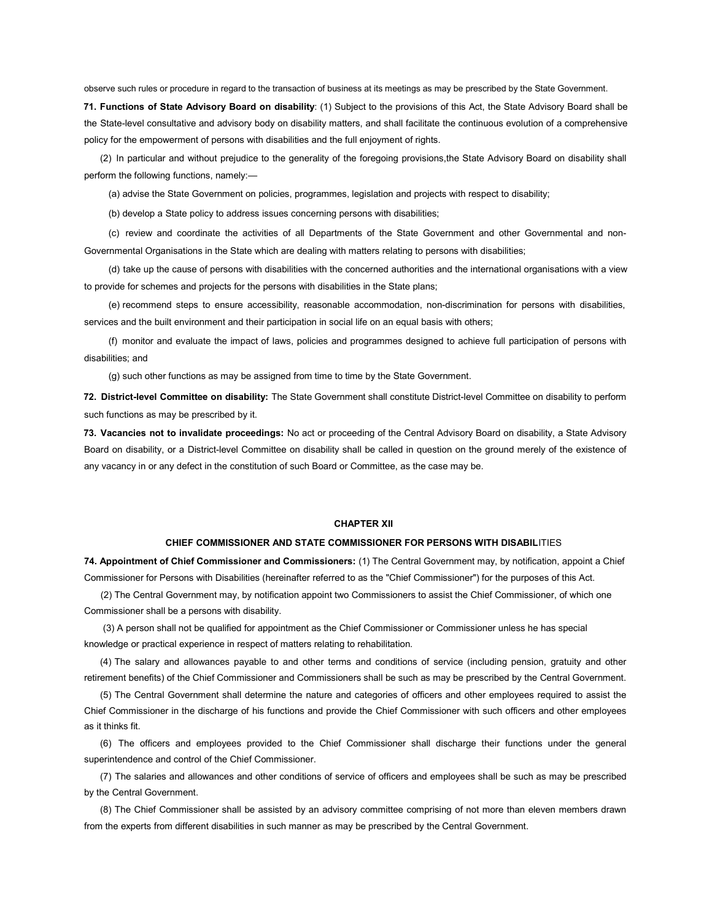observe such rules or procedure in regard to the transaction of business at its meetings as may be prescribed by the State Government.

71. Functions of State Advisory Board on disability: (1) Subject to the provisions of this Act, the State Advisory Board shall be the State-level consultative and advisory body on disability matters, and shall facilitate the continuous evolution of a comprehensive policy for the empowerment of persons with disabilities and the full enjoyment of rights.

(2) In particular and without prejudice to the generality of the foregoing provisions,the State Advisory Board on disability shall perform the following functions, namely:—

(a) advise the State Government on policies, programmes, legislation and projects with respect to disability;

(b) develop a State policy to address issues concerning persons with disabilities;

(c) review and coordinate the activities of all Departments of the State Government and other Governmental and non-Governmental Organisations in the State which are dealing with matters relating to persons with disabilities;

(d) take up the cause of persons with disabilities with the concerned authorities and the international organisations with a view to provide for schemes and projects for the persons with disabilities in the State plans;

(e) recommend steps to ensure accessibility, reasonable accommodation, non-discrimination for persons with disabilities, services and the built environment and their participation in social life on an equal basis with others;

(f) monitor and evaluate the impact of laws, policies and programmes designed to achieve full participation of persons with disabilities; and

(g) such other functions as may be assigned from time to time by the State Government.

72. District-level Committee on disability: The State Government shall constitute District-level Committee on disability to perform such functions as may be prescribed by it.

73. Vacancies not to invalidate proceedings: No act or proceeding of the Central Advisory Board on disability, a State Advisory Board on disability, or a District-level Committee on disability shall be called in question on the ground merely of the existence of any vacancy in or any defect in the constitution of such Board or Committee, as the case may be.

#### CHAPTER XII

#### CHIEF COMMISSIONER AND STATE COMMISSIONER FOR PERSONS WITH DISABILITIES

74. Appointment of Chief Commissioner and Commissioners: (1) The Central Government may, by notification, appoint a Chief Commissioner for Persons with Disabilities (hereinafter referred to as the "Chief Commissioner") for the purposes of this Act.

(2) The Central Government may, by notification appoint two Commissioners to assist the Chief Commissioner, of which one Commissioner shall be a persons with disability.

(3) A person shall not be qualified for appointment as the Chief Commissioner or Commissioner unless he has special knowledge or practical experience in respect of matters relating to rehabilitation.

(4) The salary and allowances payable to and other terms and conditions of service (including pension, gratuity and other retirement benefits) of the Chief Commissioner and Commissioners shall be such as may be prescribed by the Central Government.

(5) The Central Government shall determine the nature and categories of officers and other employees required to assist the Chief Commissioner in the discharge of his functions and provide the Chief Commissioner with such officers and other employees as it thinks fit.

(6) The officers and employees provided to the Chief Commissioner shall discharge their functions under the general superintendence and control of the Chief Commissioner.

(7) The salaries and allowances and other conditions of service of officers and employees shall be such as may be prescribed by the Central Government.

(8) The Chief Commissioner shall be assisted by an advisory committee comprising of not more than eleven members drawn from the experts from different disabilities in such manner as may be prescribed by the Central Government.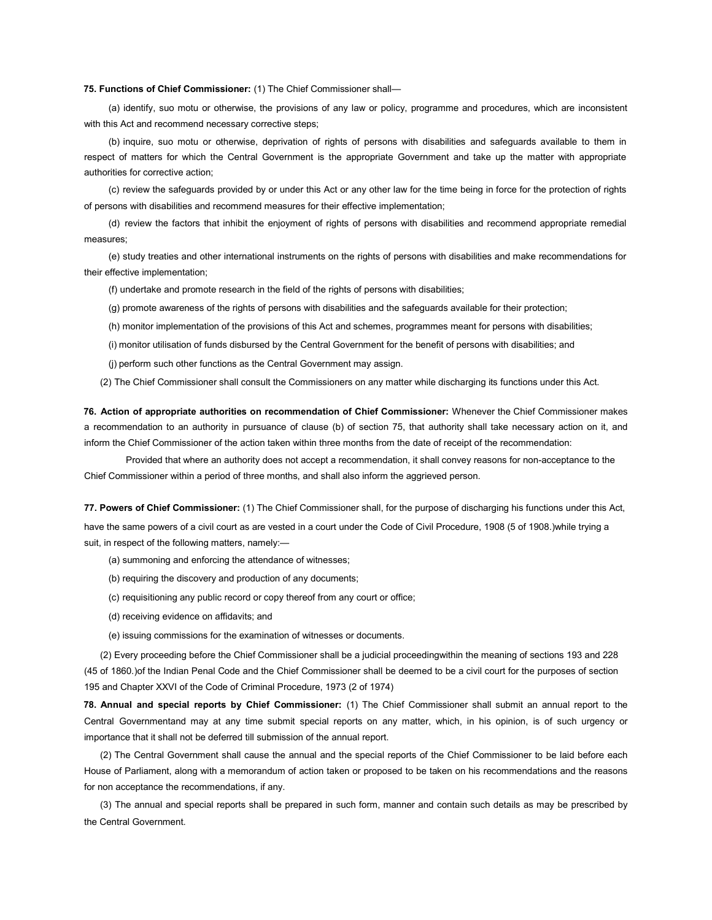## 75. Functions of Chief Commissioner: (1) The Chief Commissioner shall—

(a) identify, suo motu or otherwise, the provisions of any law or policy, programme and procedures, which are inconsistent with this Act and recommend necessary corrective steps;

(b) inquire, suo motu or otherwise, deprivation of rights of persons with disabilities and safeguards available to them in respect of matters for which the Central Government is the appropriate Government and take up the matter with appropriate authorities for corrective action;

(c) review the safeguards provided by or under this Act or any other law for the time being in force for the protection of rights of persons with disabilities and recommend measures for their effective implementation;

(d) review the factors that inhibit the enjoyment of rights of persons with disabilities and recommend appropriate remedial measures;

(e) study treaties and other international instruments on the rights of persons with disabilities and make recommendations for their effective implementation;

(f) undertake and promote research in the field of the rights of persons with disabilities;

(g) promote awareness of the rights of persons with disabilities and the safeguards available for their protection;

(h) monitor implementation of the provisions of this Act and schemes, programmes meant for persons with disabilities;

(i) monitor utilisation of funds disbursed by the Central Government for the benefit of persons with disabilities; and

(j) perform such other functions as the Central Government may assign.

(2) The Chief Commissioner shall consult the Commissioners on any matter while discharging its functions under this Act.

76. Action of appropriate authorities on recommendation of Chief Commissioner: Whenever the Chief Commissioner makes a recommendation to an authority in pursuance of clause (b) of section 75, that authority shall take necessary action on it, and inform the Chief Commissioner of the action taken within three months from the date of receipt of the recommendation:

Provided that where an authority does not accept a recommendation, it shall convey reasons for non-acceptance to the Chief Commissioner within a period of three months, and shall also inform the aggrieved person.

77. Powers of Chief Commissioner: (1) The Chief Commissioner shall, for the purpose of discharging his functions under this Act, have the same powers of a civil court as are vested in a court under the Code of Civil Procedure, 1908 (5 of 1908.)while trying a suit, in respect of the following matters, namely:—

(a) summoning and enforcing the attendance of witnesses;

- (b) requiring the discovery and production of any documents;
- (c) requisitioning any public record or copy thereof from any court or office;
- (d) receiving evidence on affidavits; and
- (e) issuing commissions for the examination of witnesses or documents.

(2) Every proceeding before the Chief Commissioner shall be a judicial proceedingwithin the meaning of sections 193 and 228 (45 of 1860.)of the Indian Penal Code and the Chief Commissioner shall be deemed to be a civil court for the purposes of section 195 and Chapter XXVI of the Code of Criminal Procedure, 1973 (2 of 1974)

78. Annual and special reports by Chief Commissioner: (1) The Chief Commissioner shall submit an annual report to the Central Governmentand may at any time submit special reports on any matter, which, in his opinion, is of such urgency or importance that it shall not be deferred till submission of the annual report.

(2) The Central Government shall cause the annual and the special reports of the Chief Commissioner to be laid before each House of Parliament, along with a memorandum of action taken or proposed to be taken on his recommendations and the reasons for non acceptance the recommendations, if any.

(3) The annual and special reports shall be prepared in such form, manner and contain such details as may be prescribed by the Central Government.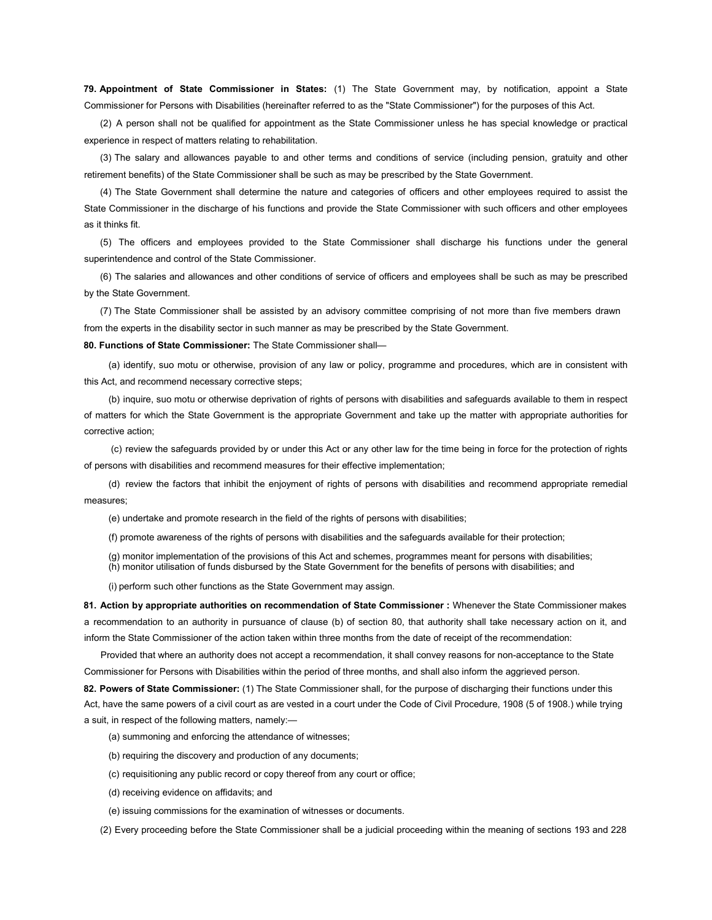79. Appointment of State Commissioner in States: (1) The State Government may, by notification, appoint a State Commissioner for Persons with Disabilities (hereinafter referred to as the "State Commissioner") for the purposes of this Act.

(2) A person shall not be qualified for appointment as the State Commissioner unless he has special knowledge or practical experience in respect of matters relating to rehabilitation.

(3) The salary and allowances payable to and other terms and conditions of service (including pension, gratuity and other retirement benefits) of the State Commissioner shall be such as may be prescribed by the State Government.

(4) The State Government shall determine the nature and categories of officers and other employees required to assist the State Commissioner in the discharge of his functions and provide the State Commissioner with such officers and other employees as it thinks fit.

(5) The officers and employees provided to the State Commissioner shall discharge his functions under the general superintendence and control of the State Commissioner.

(6) The salaries and allowances and other conditions of service of officers and employees shall be such as may be prescribed by the State Government.

(7) The State Commissioner shall be assisted by an advisory committee comprising of not more than five members drawn from the experts in the disability sector in such manner as may be prescribed by the State Government.

80. Functions of State Commissioner: The State Commissioner shall-

(a) identify, suo motu or otherwise, provision of any law or policy, programme and procedures, which are in consistent with this Act, and recommend necessary corrective steps;

(b) inquire, suo motu or otherwise deprivation of rights of persons with disabilities and safeguards available to them in respect of matters for which the State Government is the appropriate Government and take up the matter with appropriate authorities for corrective action;

(c) review the safeguards provided by or under this Act or any other law for the time being in force for the protection of rights of persons with disabilities and recommend measures for their effective implementation;

(d) review the factors that inhibit the enjoyment of rights of persons with disabilities and recommend appropriate remedial measures;

(e) undertake and promote research in the field of the rights of persons with disabilities;

(f) promote awareness of the rights of persons with disabilities and the safeguards available for their protection;

(g) monitor implementation of the provisions of this Act and schemes, programmes meant for persons with disabilities; (h) monitor utilisation of funds disbursed by the State Government for the benefits of persons with disabilities; and

(i) perform such other functions as the State Government may assign.

81. Action by appropriate authorities on recommendation of State Commissioner : Whenever the State Commissioner makes a recommendation to an authority in pursuance of clause (b) of section 80, that authority shall take necessary action on it, and inform the State Commissioner of the action taken within three months from the date of receipt of the recommendation:

Provided that where an authority does not accept a recommendation, it shall convey reasons for non-acceptance to the State Commissioner for Persons with Disabilities within the period of three months, and shall also inform the aggrieved person.

82. Powers of State Commissioner: (1) The State Commissioner shall, for the purpose of discharging their functions under this Act, have the same powers of a civil court as are vested in a court under the Code of Civil Procedure, 1908 (5 of 1908.) while trying a suit, in respect of the following matters, namely:—

- (a) summoning and enforcing the attendance of witnesses;
- (b) requiring the discovery and production of any documents;
- (c) requisitioning any public record or copy thereof from any court or office;
- (d) receiving evidence on affidavits; and
- (e) issuing commissions for the examination of witnesses or documents.

(2) Every proceeding before the State Commissioner shall be a judicial proceeding within the meaning of sections 193 and 228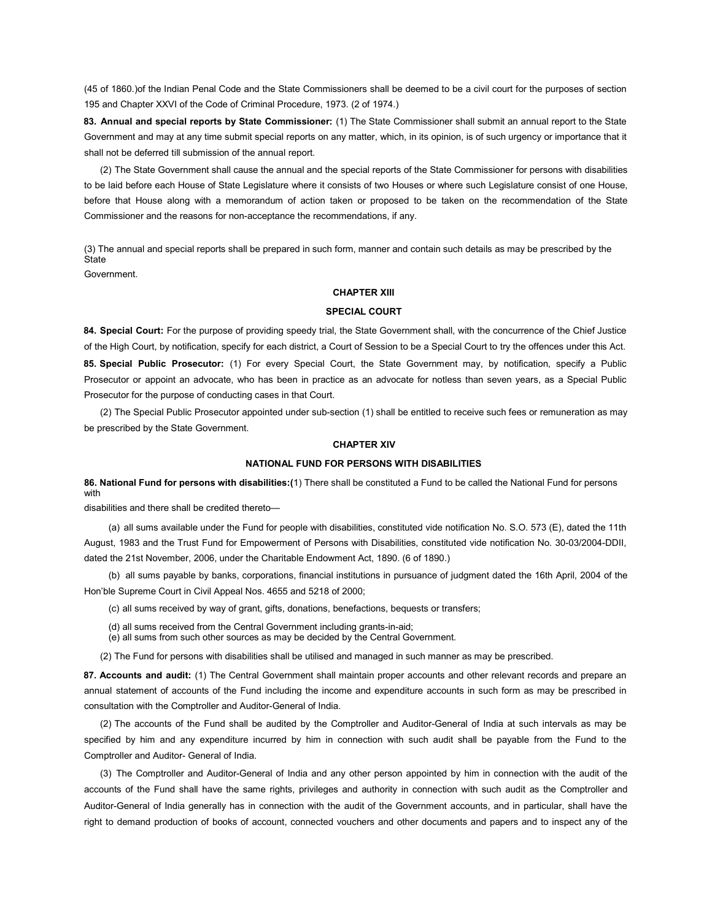(45 of 1860.)of the Indian Penal Code and the State Commissioners shall be deemed to be a civil court for the purposes of section 195 and Chapter XXVI of the Code of Criminal Procedure, 1973. (2 of 1974.)

83. Annual and special reports by State Commissioner: (1) The State Commissioner shall submit an annual report to the State Government and may at any time submit special reports on any matter, which, in its opinion, is of such urgency or importance that it shall not be deferred till submission of the annual report.

(2) The State Government shall cause the annual and the special reports of the State Commissioner for persons with disabilities to be laid before each House of State Legislature where it consists of two Houses or where such Legislature consist of one House, before that House along with a memorandum of action taken or proposed to be taken on the recommendation of the State Commissioner and the reasons for non-acceptance the recommendations, if any.

(3) The annual and special reports shall be prepared in such form, manner and contain such details as may be prescribed by the **State** 

Government.

## CHAPTER XIII

## SPECIAL COURT

84. Special Court: For the purpose of providing speedy trial, the State Government shall, with the concurrence of the Chief Justice of the High Court, by notification, specify for each district, a Court of Session to be a Special Court to try the offences under this Act. 85. Special Public Prosecutor: (1) For every Special Court, the State Government may, by notification, specify a Public Prosecutor or appoint an advocate, who has been in practice as an advocate for notless than seven years, as a Special Public Prosecutor for the purpose of conducting cases in that Court.

(2) The Special Public Prosecutor appointed under sub-section (1) shall be entitled to receive such fees or remuneration as may be prescribed by the State Government.

### CHAPTER XIV

#### NATIONAL FUND FOR PERSONS WITH DISABILITIES

86. National Fund for persons with disabilities:(1) There shall be constituted a Fund to be called the National Fund for persons with

disabilities and there shall be credited thereto—

(a) all sums available under the Fund for people with disabilities, constituted vide notification No. S.O. 573 (E), dated the 11th August, 1983 and the Trust Fund for Empowerment of Persons with Disabilities, constituted vide notification No. 30-03/2004-DDII, dated the 21st November, 2006, under the Charitable Endowment Act, 1890. (6 of 1890.)

(b) all sums payable by banks, corporations, financial institutions in pursuance of judgment dated the 16th April, 2004 of the Hon'ble Supreme Court in Civil Appeal Nos. 4655 and 5218 of 2000;

(c) all sums received by way of grant, gifts, donations, benefactions, bequests or transfers;

- (d) all sums received from the Central Government including grants-in-aid;
- (e) all sums from such other sources as may be decided by the Central Government.

(2) The Fund for persons with disabilities shall be utilised and managed in such manner as may be prescribed.

87. Accounts and audit: (1) The Central Government shall maintain proper accounts and other relevant records and prepare an annual statement of accounts of the Fund including the income and expenditure accounts in such form as may be prescribed in consultation with the Comptroller and Auditor-General of India.

(2) The accounts of the Fund shall be audited by the Comptroller and Auditor-General of India at such intervals as may be specified by him and any expenditure incurred by him in connection with such audit shall be payable from the Fund to the Comptroller and Auditor- General of India.

(3) The Comptroller and Auditor-General of India and any other person appointed by him in connection with the audit of the accounts of the Fund shall have the same rights, privileges and authority in connection with such audit as the Comptroller and Auditor-General of India generally has in connection with the audit of the Government accounts, and in particular, shall have the right to demand production of books of account, connected vouchers and other documents and papers and to inspect any of the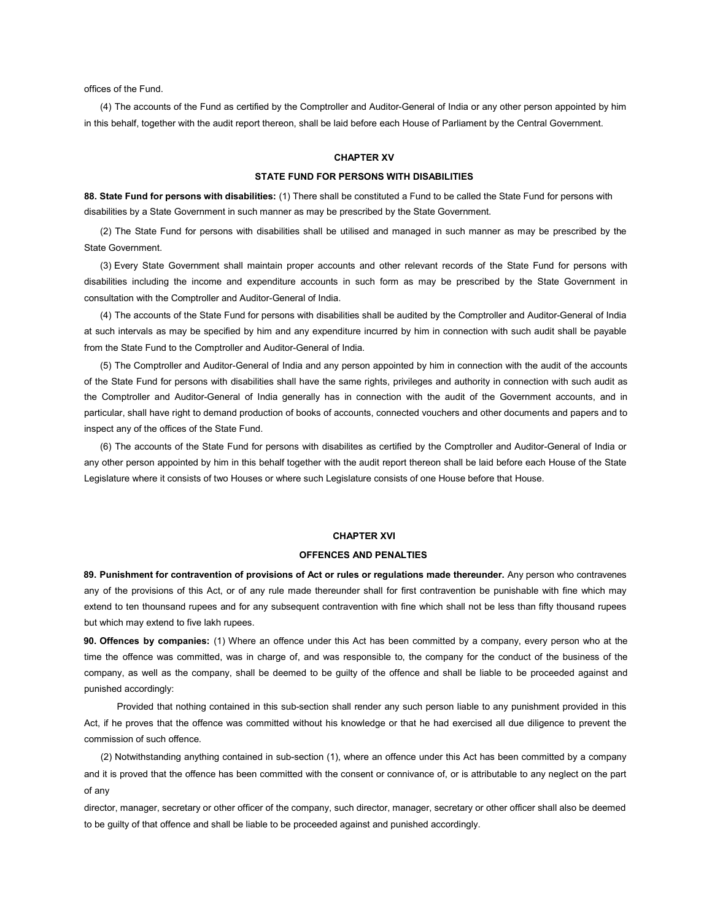offices of the Fund.

(4) The accounts of the Fund as certified by the Comptroller and Auditor-General of India or any other person appointed by him in this behalf, together with the audit report thereon, shall be laid before each House of Parliament by the Central Government.

## CHAPTER XV

## STATE FUND FOR PERSONS WITH DISABILITIES

88. State Fund for persons with disabilities: (1) There shall be constituted a Fund to be called the State Fund for persons with disabilities by a State Government in such manner as may be prescribed by the State Government.

(2) The State Fund for persons with disabilities shall be utilised and managed in such manner as may be prescribed by the State Government.

(3) Every State Government shall maintain proper accounts and other relevant records of the State Fund for persons with disabilities including the income and expenditure accounts in such form as may be prescribed by the State Government in consultation with the Comptroller and Auditor-General of India.

(4) The accounts of the State Fund for persons with disabilities shall be audited by the Comptroller and Auditor-General of India at such intervals as may be specified by him and any expenditure incurred by him in connection with such audit shall be payable from the State Fund to the Comptroller and Auditor-General of India.

(5) The Comptroller and Auditor-General of India and any person appointed by him in connection with the audit of the accounts of the State Fund for persons with disabilities shall have the same rights, privileges and authority in connection with such audit as the Comptroller and Auditor-General of India generally has in connection with the audit of the Government accounts, and in particular, shall have right to demand production of books of accounts, connected vouchers and other documents and papers and to inspect any of the offices of the State Fund.

(6) The accounts of the State Fund for persons with disabilites as certified by the Comptroller and Auditor-General of India or any other person appointed by him in this behalf together with the audit report thereon shall be laid before each House of the State Legislature where it consists of two Houses or where such Legislature consists of one House before that House.

#### CHAPTER XVI

## OFFENCES AND PENALTIES

89. Punishment for contravention of provisions of Act or rules or regulations made thereunder. Any person who contravenes any of the provisions of this Act, or of any rule made thereunder shall for first contravention be punishable with fine which may extend to ten thounsand rupees and for any subsequent contravention with fine which shall not be less than fifty thousand rupees but which may extend to five lakh rupees.

90. Offences by companies: (1) Where an offence under this Act has been committed by a company, every person who at the time the offence was committed, was in charge of, and was responsible to, the company for the conduct of the business of the company, as well as the company, shall be deemed to be guilty of the offence and shall be liable to be proceeded against and punished accordingly:

Provided that nothing contained in this sub-section shall render any such person liable to any punishment provided in this Act, if he proves that the offence was committed without his knowledge or that he had exercised all due diligence to prevent the commission of such offence.

(2) Notwithstanding anything contained in sub-section (1), where an offence under this Act has been committed by a company and it is proved that the offence has been committed with the consent or connivance of, or is attributable to any neglect on the part of any

director, manager, secretary or other officer of the company, such director, manager, secretary or other officer shall also be deemed to be guilty of that offence and shall be liable to be proceeded against and punished accordingly.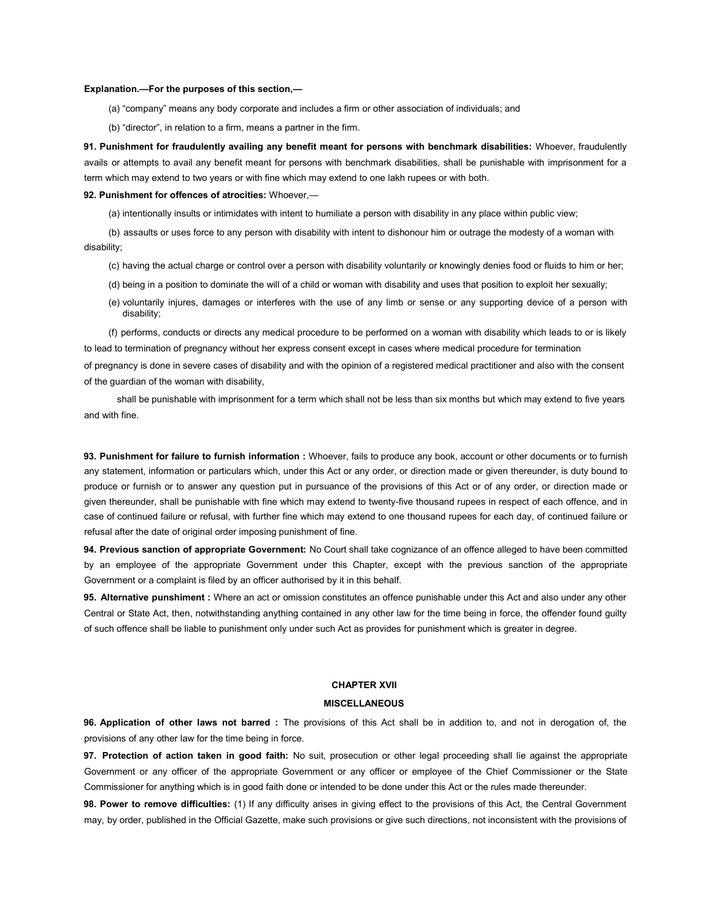#### Explanation.—For the purposes of this section,—

(a) "company" means any body corporate and includes a firm or other association of individuals; and

(b) "director", in relation to a firm, means a partner in the firm.

91. Punishment for fraudulently availing any benefit meant for persons with benchmark disabilities: Whoever, fraudulently avails or attempts to avail any benefit meant for persons with benchmark disabilities, shall be punishable with imprisonment for a term which may extend to two years or with fine which may extend to one lakh rupees or with both.

## 92. Punishment for offences of atrocities: Whoever,-

(a) intentionally insults or intimidates with intent to humiliate a person with disability in any place within public view;

(b) assaults or uses force to any person with disability with intent to dishonour him or outrage the modesty of a woman with disability;

- (c) having the actual charge or control over a person with disability voluntarily or knowingly denies food or fluids to him or her;
- (d) being in a position to dominate the will of a child or woman with disability and uses that position to exploit her sexually;
- (e) voluntarily injures, damages or interferes with the use of any limb or sense or any supporting device of a person with disability;

(f) performs, conducts or directs any medical procedure to be performed on a woman with disability which leads to or is likely to lead to termination of pregnancy without her express consent except in cases where medical procedure for termination of pregnancy is done in severe cases of disability and with the opinion of a registered medical practitioner and also with the consent of the guardian of the woman with disability,

shall be punishable with imprisonment for a term which shall not be less than six months but which may extend to five years and with fine.

93. Punishment for failure to furnish information : Whoever, fails to produce any book, account or other documents or to furnish any statement, information or particulars which, under this Act or any order, or direction made or given thereunder, is duty bound to produce or furnish or to answer any question put in pursuance of the provisions of this Act or of any order, or direction made or given thereunder, shall be punishable with fine which may extend to twenty-five thousand rupees in respect of each offence, and in case of continued failure or refusal, with further fine which may extend to one thousand rupees for each day, of continued failure or refusal after the date of original order imposing punishment of fine.

94. Previous sanction of appropriate Government: No Court shall take cognizance of an offence alleged to have been committed by an employee of the appropriate Government under this Chapter, except with the previous sanction of the appropriate Government or a complaint is filed by an officer authorised by it in this behalf.

95. Alternative punshiment : Where an act or omission constitutes an offence punishable under this Act and also under any other Central or State Act, then, notwithstanding anything contained in any other law for the time being in force, the offender found guilty of such offence shall be liable to punishment only under such Act as provides for punishment which is greater in degree.

## CHAPTER XVII

## MISCELLANEOUS

96. Application of other laws not barred : The provisions of this Act shall be in addition to, and not in derogation of, the provisions of any other law for the time being in force.

97. Protection of action taken in good faith: No suit, prosecution or other legal proceeding shall lie against the appropriate Government or any officer of the appropriate Government or any officer or employee of the Chief Commissioner or the State Commissioner for anything which is in good faith done or intended to be done under this Act or the rules made thereunder.

98. Power to remove difficulties: (1) If any difficulty arises in giving effect to the provisions of this Act, the Central Government may, by order, published in the Official Gazette, make such provisions or give such directions, not inconsistent with the provisions of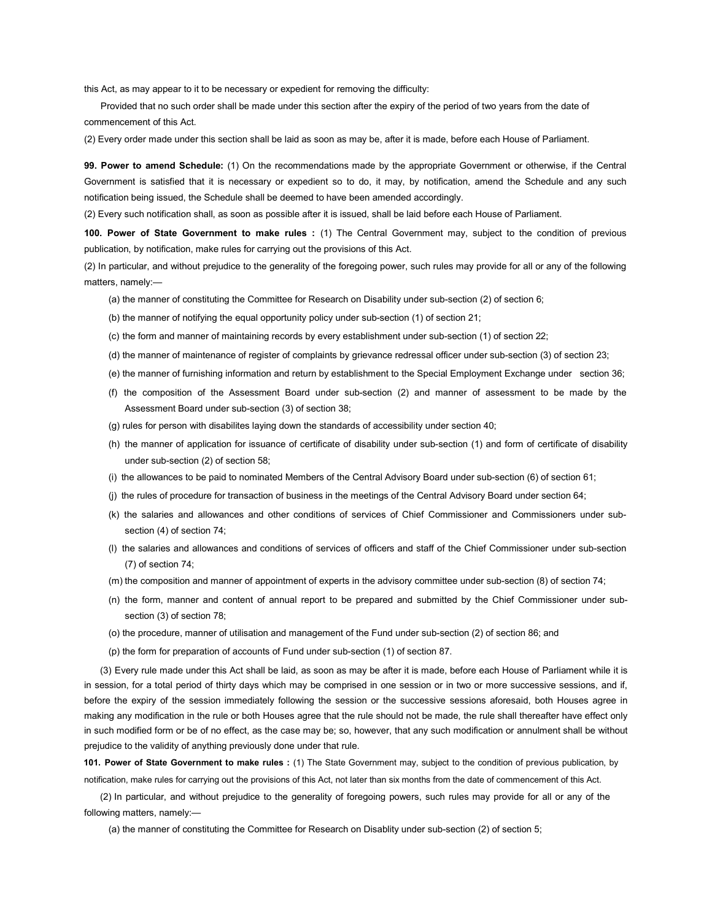this Act, as may appear to it to be necessary or expedient for removing the difficulty:

Provided that no such order shall be made under this section after the expiry of the period of two years from the date of commencement of this Act.

(2) Every order made under this section shall be laid as soon as may be, after it is made, before each House of Parliament.

99. Power to amend Schedule: (1) On the recommendations made by the appropriate Government or otherwise, if the Central Government is satisfied that it is necessary or expedient so to do, it may, by notification, amend the Schedule and any such notification being issued, the Schedule shall be deemed to have been amended accordingly.

(2) Every such notification shall, as soon as possible after it is issued, shall be laid before each House of Parliament.

100. Power of State Government to make rules : (1) The Central Government may, subject to the condition of previous publication, by notification, make rules for carrying out the provisions of this Act.

(2) In particular, and without prejudice to the generality of the foregoing power, such rules may provide for all or any of the following matters, namely:—

(a) the manner of constituting the Committee for Research on Disability under sub-section (2) of section 6;

(b) the manner of notifying the equal opportunity policy under sub-section (1) of section 21;

- (c) the form and manner of maintaining records by every establishment under sub-section (1) of section 22;
- (d) the manner of maintenance of register of complaints by grievance redressal officer under sub-section (3) of section 23;
- (e) the manner of furnishing information and return by establishment to the Special Employment Exchange under section 36;
- (f) the composition of the Assessment Board under sub-section (2) and manner of assessment to be made by the Assessment Board under sub-section (3) of section 38;
- (g) rules for person with disabilites laying down the standards of accessibility under section 40;
- (h) the manner of application for issuance of certificate of disability under sub-section (1) and form of certificate of disability under sub-section (2) of section 58;
- (i) the allowances to be paid to nominated Members of the Central Advisory Board under sub-section (6) of section 61;
- (j) the rules of procedure for transaction of business in the meetings of the Central Advisory Board under section 64;
- (k) the salaries and allowances and other conditions of services of Chief Commissioner and Commissioners under subsection (4) of section 74;
- (l) the salaries and allowances and conditions of services of officers and staff of the Chief Commissioner under sub-section (7) of section 74;
- (m) the composition and manner of appointment of experts in the advisory committee under sub-section (8) of section 74;
- (n) the form, manner and content of annual report to be prepared and submitted by the Chief Commissioner under subsection (3) of section 78;
- (o) the procedure, manner of utilisation and management of the Fund under sub-section (2) of section 86; and
- (p) the form for preparation of accounts of Fund under sub-section (1) of section 87.

(3) Every rule made under this Act shall be laid, as soon as may be after it is made, before each House of Parliament while it is in session, for a total period of thirty days which may be comprised in one session or in two or more successive sessions, and if, before the expiry of the session immediately following the session or the successive sessions aforesaid, both Houses agree in making any modification in the rule or both Houses agree that the rule should not be made, the rule shall thereafter have effect only in such modified form or be of no effect, as the case may be; so, however, that any such modification or annulment shall be without prejudice to the validity of anything previously done under that rule.

101. Power of State Government to make rules : (1) The State Government may, subject to the condition of previous publication, by notification, make rules for carrying out the provisions of this Act, not later than six months from the date of commencement of this Act.

(2) In particular, and without prejudice to the generality of foregoing powers, such rules may provide for all or any of the following matters, namely:—

(a) the manner of constituting the Committee for Research on Disablity under sub-section (2) of section 5;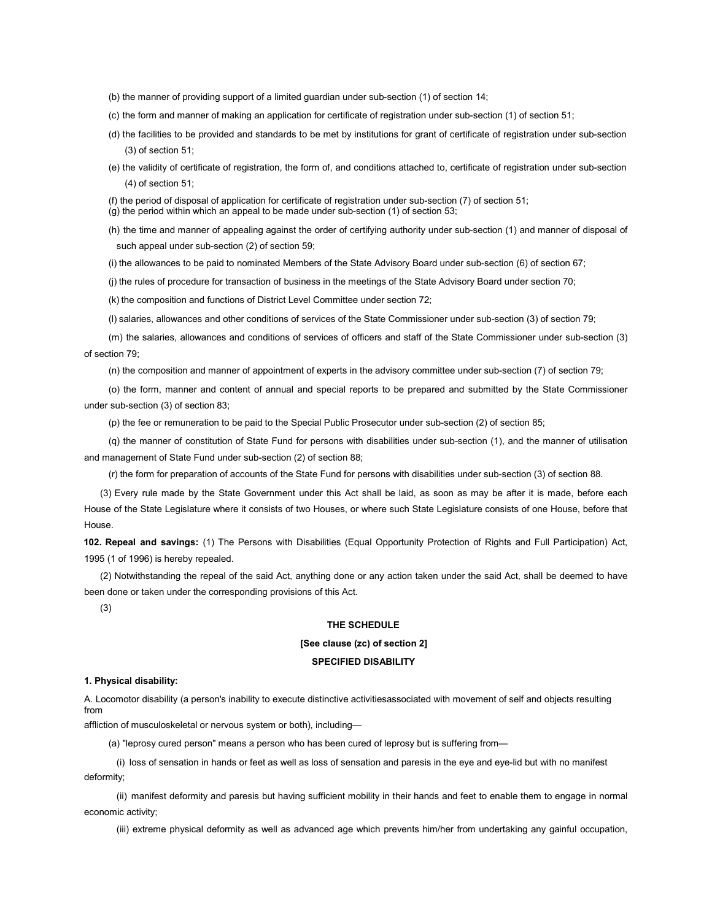(b) the manner of providing support of a limited guardian under sub-section (1) of section 14;

(c) the form and manner of making an application for certificate of registration under sub-section (1) of section 51;

- (d) the facilities to be provided and standards to be met by institutions for grant of certificate of registration under sub-section (3) of section 51;
- (e) the validity of certificate of registration, the form of, and conditions attached to, certificate of registration under sub-section (4) of section 51;

(f) the period of disposal of application for certificate of registration under sub-section (7) of section 51; (g) the period within which an appeal to be made under sub-section (1) of section 53;

(h) the time and manner of appealing against the order of certifying authority under sub-section (1) and manner of disposal of

(i) the allowances to be paid to nominated Members of the State Advisory Board under sub-section (6) of section 67;

(j) the rules of procedure for transaction of business in the meetings of the State Advisory Board under section 70;

(k) the composition and functions of District Level Committee under section 72;

such appeal under sub-section (2) of section 59;

(l) salaries, allowances and other conditions of services of the State Commissioner under sub-section (3) of section 79;

(m) the salaries, allowances and conditions of services of officers and staff of the State Commissioner under sub-section (3) of section 79;

(n) the composition and manner of appointment of experts in the advisory committee under sub-section (7) of section 79;

(o) the form, manner and content of annual and special reports to be prepared and submitted by the State Commissioner under sub-section (3) of section 83;

(p) the fee or remuneration to be paid to the Special Public Prosecutor under sub-section (2) of section 85;

(q) the manner of constitution of State Fund for persons with disabilities under sub-section (1), and the manner of utilisation and management of State Fund under sub-section (2) of section 88;

(r) the form for preparation of accounts of the State Fund for persons with disabilities under sub-section (3) of section 88.

(3) Every rule made by the State Government under this Act shall be laid, as soon as may be after it is made, before each House of the State Legislature where it consists of two Houses, or where such State Legislature consists of one House, before that House.

102. Repeal and savings: (1) The Persons with Disabilities (Equal Opportunity Protection of Rights and Full Participation) Act, 1995 (1 of 1996) is hereby repealed.

(2) Notwithstanding the repeal of the said Act, anything done or any action taken under the said Act, shall be deemed to have been done or taken under the corresponding provisions of this Act.

(3)

## THE SCHEDULE

## [See clause (zc) of section 2]

#### SPECIFIED DISABILITY

## 1. Physical disability:

A. Locomotor disability (a person's inability to execute distinctive activitiesassociated with movement of self and objects resulting from

affliction of musculoskeletal or nervous system or both), including—

(a) "leprosy cured person" means a person who has been cured of leprosy but is suffering from—

(i) loss of sensation in hands or feet as well as loss of sensation and paresis in the eye and eye-lid but with no manifest deformity;

(ii) manifest deformity and paresis but having sufficient mobility in their hands and feet to enable them to engage in normal economic activity;

(iii) extreme physical deformity as well as advanced age which prevents him/her from undertaking any gainful occupation,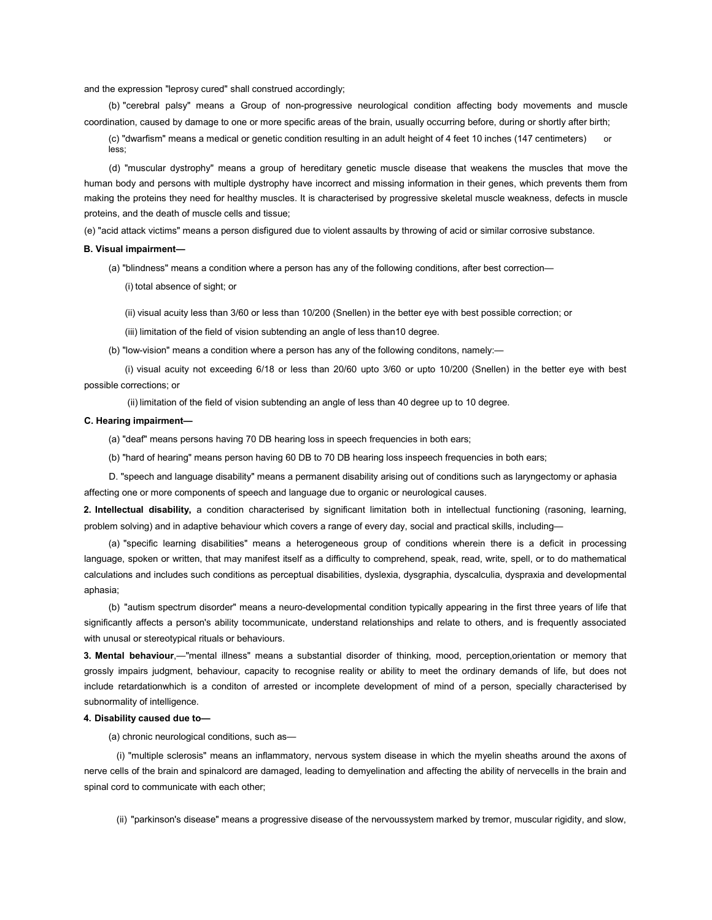and the expression "leprosy cured" shall construed accordingly;

(b) "cerebral palsy" means a Group of non-progressive neurological condition affecting body movements and muscle coordination, caused by damage to one or more specific areas of the brain, usually occurring before, during or shortly after birth;

(c) "dwarfism" means a medical or genetic condition resulting in an adult height of 4 feet 10 inches (147 centimeters) or less;

(d) "muscular dystrophy" means a group of hereditary genetic muscle disease that weakens the muscles that move the human body and persons with multiple dystrophy have incorrect and missing information in their genes, which prevents them from making the proteins they need for healthy muscles. It is characterised by progressive skeletal muscle weakness, defects in muscle proteins, and the death of muscle cells and tissue;

(e) "acid attack victims" means a person disfigured due to violent assaults by throwing of acid or similar corrosive substance.

#### B. Visual impairment—

(a) "blindness" means a condition where a person has any of the following conditions, after best correction—

(i) total absence of sight; or

(ii) visual acuity less than 3/60 or less than 10/200 (Snellen) in the better eye with best possible correction; or

(iii) limitation of the field of vision subtending an angle of less than10 degree.

(b) "low-vision" means a condition where a person has any of the following conditons, namely:—

(i) visual acuity not exceeding 6/18 or less than 20/60 upto 3/60 or upto 10/200 (Snellen) in the better eye with best possible corrections; or

(ii) limitation of the field of vision subtending an angle of less than 40 degree up to 10 degree.

## C. Hearing impairment—

- (a) "deaf" means persons having 70 DB hearing loss in speech frequencies in both ears;
- (b) "hard of hearing" means person having 60 DB to 70 DB hearing loss inspeech frequencies in both ears;

D. "speech and language disability" means a permanent disability arising out of conditions such as laryngectomy or aphasia affecting one or more components of speech and language due to organic or neurological causes.

2. Intellectual disability, a condition characterised by significant limitation both in intellectual functioning (rasoning, learning, problem solving) and in adaptive behaviour which covers a range of every day, social and practical skills, including—

(a) "specific learning disabilities" means a heterogeneous group of conditions wherein there is a deficit in processing language, spoken or written, that may manifest itself as a difficulty to comprehend, speak, read, write, spell, or to do mathematical calculations and includes such conditions as perceptual disabilities, dyslexia, dysgraphia, dyscalculia, dyspraxia and developmental aphasia;

(b) "autism spectrum disorder" means a neuro-developmental condition typically appearing in the first three years of life that significantly affects a person's ability tocommunicate, understand relationships and relate to others, and is frequently associated with unusal or stereotypical rituals or behaviours.

3. Mental behaviour,—"mental illness" means a substantial disorder of thinking, mood, perception,orientation or memory that grossly impairs judgment, behaviour, capacity to recognise reality or ability to meet the ordinary demands of life, but does not include retardationwhich is a conditon of arrested or incomplete development of mind of a person, specially characterised by subnormality of intelligence.

#### 4. Disability caused due to—

(a) chronic neurological conditions, such as—

(i) "multiple sclerosis" means an inflammatory, nervous system disease in which the myelin sheaths around the axons of nerve cells of the brain and spinalcord are damaged, leading to demyelination and affecting the ability of nervecells in the brain and spinal cord to communicate with each other;

(ii) "parkinson's disease" means a progressive disease of the nervoussystem marked by tremor, muscular rigidity, and slow,